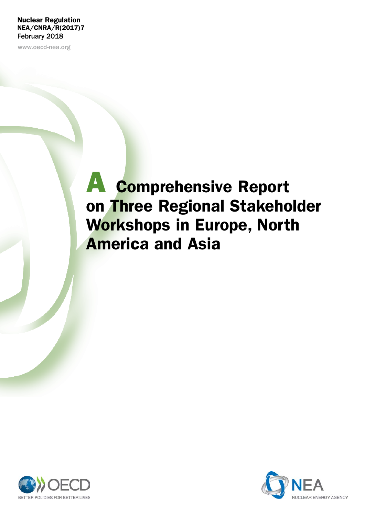### Nuclear Regulation NEA/CNRA/R(2017)7 February 2018

www.oecd-nea.org

# A Comprehensive Report on Three Regional Stakeholder Workshops in Europe, North America and Asia



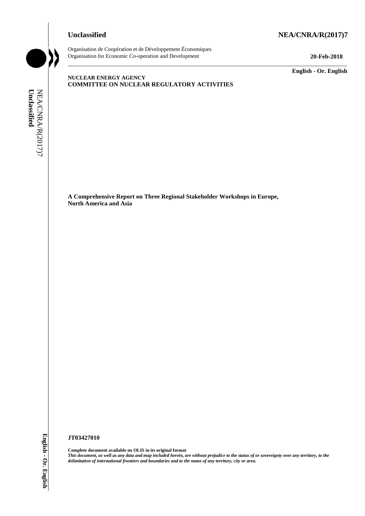## **Unclassified NEA/CNRA/R(2017)7**



Organisation de Coopération et de Développement Économiques Organisation for Economic Co-operation and Development **20-Feb-2018**

**English - Or. English**

### **NUCLEAR ENERGY AGENCY COMMITTEE ON NUCLEAR REGULATORY ACTIVITIES**

\_\_\_\_\_\_\_\_\_\_\_\_\_\_\_\_\_\_\_\_\_\_\_\_\_\_\_\_\_\_\_\_\_\_\_\_\_\_\_\_\_\_\_\_\_\_\_\_\_\_\_\_\_\_\_\_\_\_\_\_\_\_\_\_\_\_\_\_\_\_\_\_\_\_\_\_\_\_\_\_\_\_\_\_\_\_\_\_\_\_\_

NEA/CNRA/R(2017)7<br>Unclassified NEA/CNRA/R(2017)7 **Unclassified**

> **A Comprehensive Report on Three Regional Stakeholder Workshops in Europe, North America and Asia**

#### **JT03427010**

**Complete document available on OLIS in its original format** *This document, as well as any data and map included herein, are without prejudice to the status of or sovereignty over any territory, to the delimitation of international frontiers and boundaries and to the name of any territory, city or area.*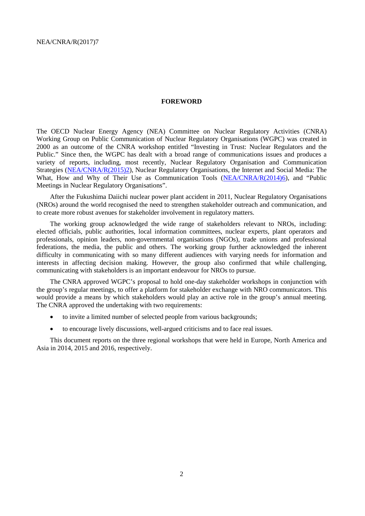#### **FOREWORD**

The OECD Nuclear Energy Agency (NEA) Committee on Nuclear Regulatory Activities (CNRA) Working Group on Public Communication of Nuclear Regulatory Organisations (WGPC) was created in 2000 as an outcome of the CNRA workshop entitled "Investing in Trust: Nuclear Regulators and the Public." Since then, the WGPC has dealt with a broad range of communications issues and produces a variety of reports, including, most recently, Nuclear Regulatory Organisation and Communication Strategies [\(NEA/CNRA/R\(2015\)2\)](http://www2.oecd.org/oecdinfo/info.aspx?app=OLIScoteEN&Ref=NEA/CNRA/R(2015)2), Nuclear Regulatory Organisations, the Internet and Social Media: The What, How and Why of Their Use as Communication Tools [\(NEA/CNRA/R\(2014\)6\)](http://www2.oecd.org/oecdinfo/info.aspx?app=OLIScoteEN&Ref=NEA/CNRA/R(2014)6), and "Public Meetings in Nuclear Regulatory Organisations".

After the Fukushima Daiichi nuclear power plant accident in 2011, Nuclear Regulatory Organisations (NROs) around the world recognised the need to strengthen stakeholder outreach and communication, and to create more robust avenues for stakeholder involvement in regulatory matters.

The working group acknowledged the wide range of stakeholders relevant to NROs, including: elected officials, public authorities, local information committees, nuclear experts, plant operators and professionals, opinion leaders, non-governmental organisations (NGOs), trade unions and professional federations, the media, the public and others. The working group further acknowledged the inherent difficulty in communicating with so many different audiences with varying needs for information and interests in affecting decision making. However, the group also confirmed that while challenging, communicating with stakeholders is an important endeavour for NROs to pursue.

The CNRA approved WGPC's proposal to hold one-day stakeholder workshops in conjunction with the group's regular meetings, to offer a platform for stakeholder exchange with NRO communicators. This would provide a means by which stakeholders would play an active role in the group's annual meeting. The CNRA approved the undertaking with two requirements:

- to invite a limited number of selected people from various backgrounds;
- to encourage lively discussions, well-argued criticisms and to face real issues.

This document reports on the three regional workshops that were held in Europe, North America and Asia in 2014, 2015 and 2016, respectively.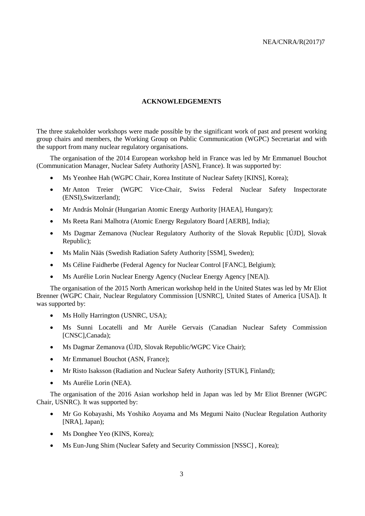#### **ACKNOWLEDGEMENTS**

The three stakeholder workshops were made possible by the significant work of past and present working group chairs and members, the Working Group on Public Communication (WGPC) Secretariat and with the support from many nuclear regulatory organisations.

The organisation of the 2014 European workshop held in France was led by Mr Emmanuel Bouchot (Communication Manager, Nuclear Safety Authority [ASN], France). It was supported by:

- Ms Yeonhee Hah (WGPC Chair, Korea Institute of Nuclear Safety [KINS], Korea);
- Mr Anton Treier (WGPC Vice-Chair, Swiss Federal Nuclear Safety Inspectorate (ENSI),Switzerland);
- Mr András Molnár (Hungarian Atomic Energy Authority [HAEA], Hungary);
- Ms Reeta Rani Malhotra (Atomic Energy Regulatory Board [AERB], India);
- Ms Dagmar Zemanova (Nuclear Regulatory Authority of the Slovak Republic [ÚJD], Slovak Republic);
- Ms Malin Nääs (Swedish Radiation Safety Authority [SSM], Sweden);
- Ms Céline Faidherbe (Federal Agency for Nuclear Control [FANC], Belgium);
- Ms Aurélie Lorin Nuclear Energy Agency (Nuclear Energy Agency [NEA]).

The organisation of the 2015 North American workshop held in the United States was led by Mr Eliot Brenner (WGPC Chair, Nuclear Regulatory Commission [USNRC], United States of America [USA]). It was supported by:

- Ms Holly Harrington (USNRC, USA);
- Ms Sunni Locatelli and Mr Aurèle Gervais (Canadian Nuclear Safety Commission [CNSC],Canada);
- Ms Dagmar Zemanova (ÚJD, Slovak Republic/WGPC Vice Chair);
- Mr Emmanuel Bouchot (ASN, France);
- Mr Risto Isaksson (Radiation and Nuclear Safety Authority [STUK], Finland);
- Ms Aurélie Lorin (NEA).

The organisation of the 2016 Asian workshop held in Japan was led by Mr Eliot Brenner (WGPC Chair, USNRC). It was supported by:

- Mr Go Kobayashi, Ms Yoshiko Aoyama and Ms Megumi Naito (Nuclear Regulation Authority [NRA], Japan);
- Ms Donghee Yeo (KINS, Korea);
- Ms Eun-Jung Shim (Nuclear Safety and Security Commission [NSSC] , Korea);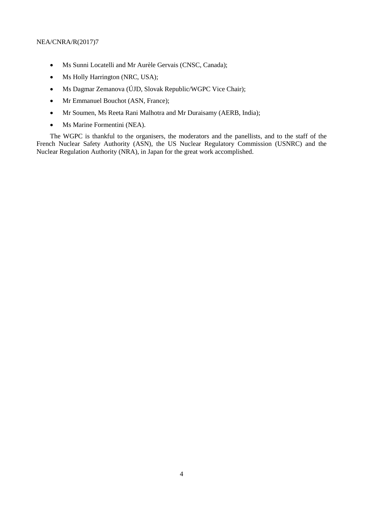- Ms Sunni Locatelli and Mr Aurèle Gervais (CNSC, Canada);
- Ms Holly Harrington (NRC, USA);
- Ms Dagmar Zemanova (ÚJD, Slovak Republic/WGPC Vice Chair);
- Mr Emmanuel Bouchot (ASN, France);
- Mr Soumen, Ms Reeta Rani Malhotra and Mr Duraisamy (AERB, India);
- Ms Marine Formentini (NEA).

The WGPC is thankful to the organisers, the moderators and the panellists, and to the staff of the French Nuclear Safety Authority (ASN), the US Nuclear Regulatory Commission (USNRC) and the Nuclear Regulation Authority (NRA), in Japan for the great work accomplished.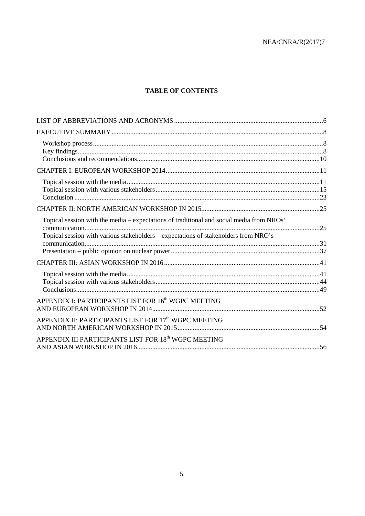### **TABLE OF CONTENTS**

| Topical session with the media - expectations of traditional and social media from NROs'<br>Topical session with various stakeholders - expectations of stakeholders from NRO's |  |
|---------------------------------------------------------------------------------------------------------------------------------------------------------------------------------|--|
|                                                                                                                                                                                 |  |
|                                                                                                                                                                                 |  |
| APPENDIX I: PARTICIPANTS LIST FOR 16 <sup>th</sup> WGPC MEETING                                                                                                                 |  |
| APPENDIX II: PARTICIPANTS LIST FOR 17 <sup>th</sup> WGPC MEETING                                                                                                                |  |
| APPENDIX III PARTICIPANTS LIST FOR 18th WGPC MEETING                                                                                                                            |  |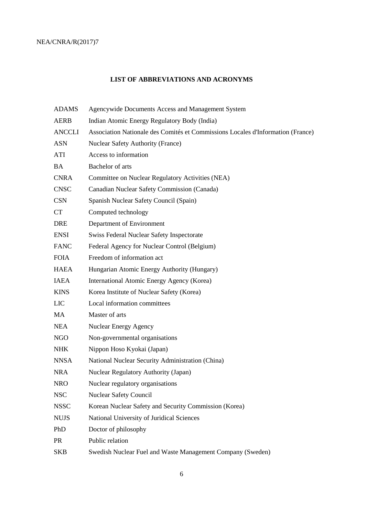### **LIST OF ABBREVIATIONS AND ACRONYMS**

| <b>ADAMS</b>  | Agencywide Documents Access and Management System                               |
|---------------|---------------------------------------------------------------------------------|
| <b>AERB</b>   | Indian Atomic Energy Regulatory Body (India)                                    |
| <b>ANCCLI</b> | Association Nationale des Comités et Commissions Locales d'Information (France) |
| <b>ASN</b>    | <b>Nuclear Safety Authority (France)</b>                                        |
| ATI           | Access to information                                                           |
| <b>BA</b>     | Bachelor of arts                                                                |
| <b>CNRA</b>   | Committee on Nuclear Regulatory Activities (NEA)                                |
| <b>CNSC</b>   | Canadian Nuclear Safety Commission (Canada)                                     |
| <b>CSN</b>    | Spanish Nuclear Safety Council (Spain)                                          |
| <b>CT</b>     | Computed technology                                                             |
| <b>DRE</b>    | Department of Environment                                                       |
| <b>ENSI</b>   | Swiss Federal Nuclear Safety Inspectorate                                       |
| <b>FANC</b>   | Federal Agency for Nuclear Control (Belgium)                                    |
| <b>FOIA</b>   | Freedom of information act                                                      |
| <b>HAEA</b>   | Hungarian Atomic Energy Authority (Hungary)                                     |
| <b>IAEA</b>   | International Atomic Energy Agency (Korea)                                      |
| <b>KINS</b>   | Korea Institute of Nuclear Safety (Korea)                                       |
| <b>LIC</b>    | Local information committees                                                    |
| MA            | Master of arts                                                                  |
| <b>NEA</b>    | Nuclear Energy Agency                                                           |
| <b>NGO</b>    | Non-governmental organisations                                                  |
| <b>NHK</b>    | Nippon Hoso Kyokai (Japan)                                                      |
| <b>NNSA</b>   | National Nuclear Security Administration (China)                                |
| <b>NRA</b>    | <b>Nuclear Regulatory Authority (Japan)</b>                                     |
| <b>NRO</b>    | Nuclear regulatory organisations                                                |
| <b>NSC</b>    | <b>Nuclear Safety Council</b>                                                   |
| <b>NSSC</b>   | Korean Nuclear Safety and Security Commission (Korea)                           |
| <b>NUJS</b>   | National University of Juridical Sciences                                       |
| PhD           | Doctor of philosophy                                                            |
| <b>PR</b>     | Public relation                                                                 |
| <b>SKB</b>    | Swedish Nuclear Fuel and Waste Management Company (Sweden)                      |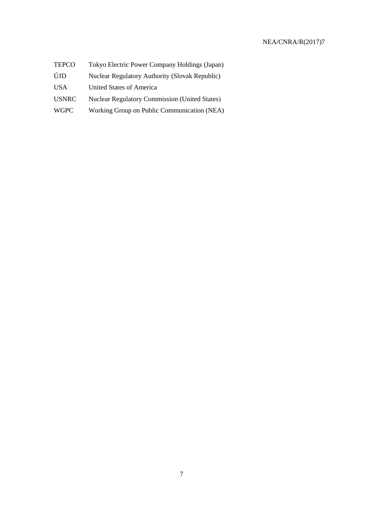| <b>TEPCO</b> | Tokyo Electric Power Company Holdings (Japan)         |
|--------------|-------------------------------------------------------|
| ÚJD          | <b>Nuclear Regulatory Authority (Slovak Republic)</b> |
| <b>USA</b>   | United States of America                              |
| <b>USNRC</b> | <b>Nuclear Regulatory Commission (United States)</b>  |
| <b>WGPC</b>  | Working Group on Public Communication (NEA)           |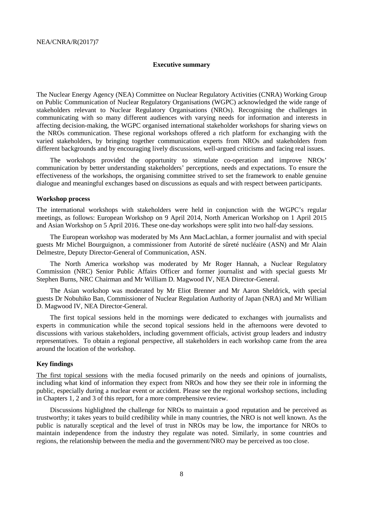#### <span id="page-9-0"></span>**Executive summary**

The Nuclear Energy Agency (NEA) Committee on Nuclear Regulatory Activities (CNRA) Working Group on Public Communication of Nuclear Regulatory Organisations (WGPC) acknowledged the wide range of stakeholders relevant to Nuclear Regulatory Organisations (NROs). Recognising the challenges in communicating with so many different audiences with varying needs for information and interests in affecting decision-making, the WGPC organised international stakeholder workshops for sharing views on the NROs communication. These regional workshops offered a rich platform for exchanging with the varied stakeholders, by bringing together communication experts from NROs and stakeholders from different backgrounds and by encouraging lively discussions, well-argued criticisms and facing real issues.

The workshops provided the opportunity to stimulate co-operation and improve NROs' communication by better understanding stakeholders' perceptions, needs and expectations. To ensure the effectiveness of the workshops, the organising committee strived to set the framework to enable genuine dialogue and meaningful exchanges based on discussions as equals and with respect between participants.

#### <span id="page-9-1"></span>**Workshop process**

The international workshops with stakeholders were held in conjunction with the WGPC's regular meetings, as follows: European Workshop on 9 April 2014, North American Workshop on 1 April 2015 and Asian Workshop on 5 April 2016. These one-day workshops were split into two half-day sessions.

The European workshop was moderated by Ms Ann MacLachlan, a former journalist and with special guests Mr Michel Bourguignon, a commissioner from Autorité de sûreté nucléaire (ASN) and Mr Alain Delmestre, Deputy Director-General of Communication, ASN.

The North America workshop was moderated by Mr Roger Hannah, a Nuclear Regulatory Commission (NRC) Senior Public Affairs Officer and former journalist and with special guests Mr Stephen Burns, NRC Chairman and Mr William D. Magwood IV, NEA Director-General.

The Asian workshop was moderated by Mr Eliot Brenner and Mr Aaron Sheldrick, with special guests Dr Nobuhiko Ban, Commissioner of Nuclear Regulation Authority of Japan (NRA) and Mr William D. Magwood IV, NEA Director-General.

The first topical sessions held in the mornings were dedicated to exchanges with journalists and experts in communication while the second topical sessions held in the afternoons were devoted to discussions with various stakeholders, including government officials, activist group leaders and industry representatives. To obtain a regional perspective, all stakeholders in each workshop came from the area around the location of the workshop.

#### <span id="page-9-2"></span>**Key findings**

The first topical sessions with the media focused primarily on the needs and opinions of journalists, including what kind of information they expect from NROs and how they see their role in informing the public, especially during a nuclear event or accident. Please see the regional workshop sections, including in Chapters 1, 2 and 3 of this report, for a more comprehensive review.

Discussions highlighted the challenge for NROs to maintain a good reputation and be perceived as trustworthy; it takes years to build credibility while in many countries, the NRO is not well known. As the public is naturally sceptical and the level of trust in NROs may be low, the importance for NROs to maintain independence from the industry they regulate was noted. Similarly, in some countries and regions, the relationship between the media and the government/NRO may be perceived as too close.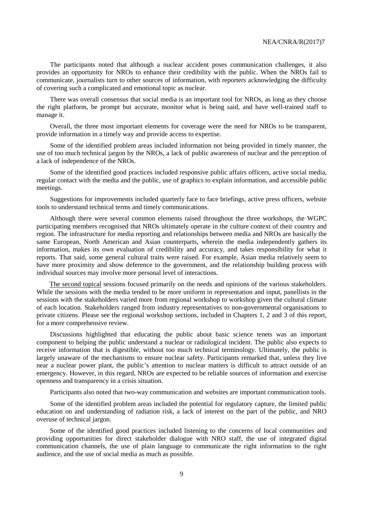The participants noted that although a nuclear accident poses communication challenges, it also provides an opportunity for NROs to enhance their credibility with the public. When the NROs fail to communicate, journalists turn to other sources of information, with reporters acknowledging the difficulty of covering such a complicated and emotional topic as nuclear.

There was overall consensus that social media is an important tool for NROs, as long as they choose the right platform, be prompt but accurate, monitor what is being said, and have well-trained staff to manage it.

Overall, the three most important elements for coverage were the need for NROs to be transparent, provide information in a timely way and provide access to expertise.

Some of the identified problem areas included information not being provided in timely manner, the use of too much technical jargon by the NROs, a lack of public awareness of nuclear and the perception of a lack of independence of the NROs.

Some of the identified good practices included responsive public affairs officers, active social media, regular contact with the media and the public, use of graphics to explain information, and accessible public meetings.

Suggestions for improvements included quarterly face to face briefings, active press officers, website tools to understand technical terms and timely communications.

Although there were several common elements raised throughout the three workshops, the WGPC participating members recognised that NROs ultimately operate in the culture context of their country and region. The infrastructure for media reporting and relationships between media and NROs are basically the same European, North American and Asian counterparts, wherein the media independently gathers its information, makes its own evaluation of credibility and accuracy, and takes responsibility for what it reports. That said, some general cultural traits were raised. For example, Asian media relatively seem to have more proximity and show deference to the government, and the relationship building process with individual sources may involve more personal level of interactions.

The second topical sessions focused primarily on the needs and opinions of the various stakeholders. While the sessions with the media tended to be more uniform in representation and input, panellists in the sessions with the stakeholders varied more from regional workshop to workshop given the cultural climate of each location. Stakeholders ranged from industry representatives to non-governmental organisations to private citizens. Please see the regional workshop sections, included in Chapters 1, 2 and 3 of this report, for a more comprehensive review.

Discussions highlighted that educating the public about basic science tenets was an important component to helping the public understand a nuclear or radiological incident. The public also expects to receive information that is digestible, without too much technical terminology. Ultimately, the public is largely unaware of the mechanisms to ensure nuclear safety. Participants remarked that, unless they live near a nuclear power plant, the public's attention to nuclear matters is difficult to attract outside of an emergency. However, in this regard, NROs are expected to be reliable sources of information and exercise openness and transparency in a crisis situation.

Participants also noted that two-way communication and websites are important communication tools.

Some of the identified problem areas included the potential for regulatory capture, the limited public education on and understanding of radiation risk, a lack of interest on the part of the public, and NRO overuse of technical jargon.

Some of the identified good practices included listening to the concerns of local communities and providing opportunities for direct stakeholder dialogue with NRO staff, the use of integrated digital communication channels, the use of plain language to communicate the right information to the right audience, and the use of social media as much as possible.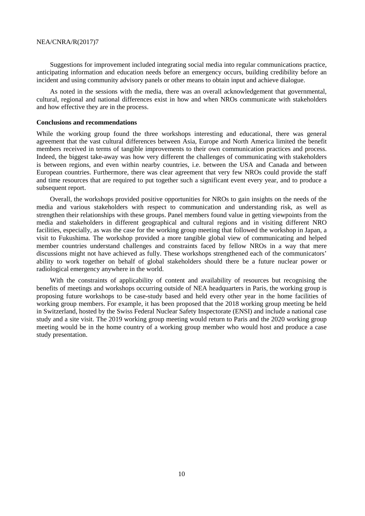Suggestions for improvement included integrating social media into regular communications practice, anticipating information and education needs before an emergency occurs, building credibility before an incident and using community advisory panels or other means to obtain input and achieve dialogue.

As noted in the sessions with the media, there was an overall acknowledgement that governmental, cultural, regional and national differences exist in how and when NROs communicate with stakeholders and how effective they are in the process.

#### <span id="page-11-0"></span>**Conclusions and recommendations**

While the working group found the three workshops interesting and educational, there was general agreement that the vast cultural differences between Asia, Europe and North America limited the benefit members received in terms of tangible improvements to their own communication practices and process. Indeed, the biggest take-away was how very different the challenges of communicating with stakeholders is between regions, and even within nearby countries, i.e. between the USA and Canada and between European countries. Furthermore, there was clear agreement that very few NROs could provide the staff and time resources that are required to put together such a significant event every year, and to produce a subsequent report.

Overall, the workshops provided positive opportunities for NROs to gain insights on the needs of the media and various stakeholders with respect to communication and understanding risk, as well as strengthen their relationships with these groups. Panel members found value in getting viewpoints from the media and stakeholders in different geographical and cultural regions and in visiting different NRO facilities, especially, as was the case for the working group meeting that followed the workshop in Japan, a visit to Fukushima. The workshop provided a more tangible global view of communicating and helped member countries understand challenges and constraints faced by fellow NROs in a way that mere discussions might not have achieved as fully. These workshops strengthened each of the communicators' ability to work together on behalf of global stakeholders should there be a future nuclear power or radiological emergency anywhere in the world.

With the constraints of applicability of content and availability of resources but recognising the benefits of meetings and workshops occurring outside of NEA headquarters in Paris, the working group is proposing future workshops to be case-study based and held every other year in the home facilities of working group members. For example, it has been proposed that the 2018 working group meeting be held in Switzerland, hosted by the Swiss Federal Nuclear Safety Inspectorate (ENSI) and include a national case study and a site visit. The 2019 working group meeting would return to Paris and the 2020 working group meeting would be in the home country of a working group member who would host and produce a case study presentation.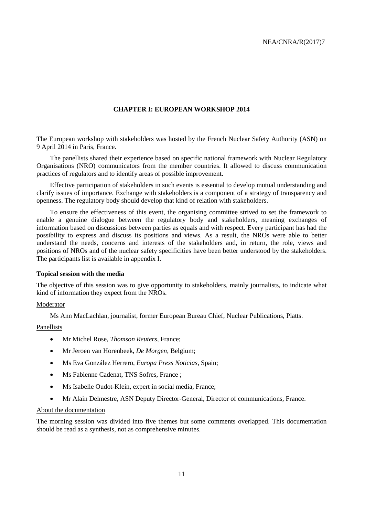#### <span id="page-12-0"></span>**CHAPTER I: EUROPEAN WORKSHOP 2014**

The European workshop with stakeholders was hosted by the French Nuclear Safety Authority (ASN) on 9 April 2014 in Paris, France.

The panellists shared their experience based on specific national framework with Nuclear Regulatory Organisations (NRO) communicators from the member countries. It allowed to discuss communication practices of regulators and to identify areas of possible improvement.

Effective participation of stakeholders in such events is essential to develop mutual understanding and clarify issues of importance. Exchange with stakeholders is a component of a strategy of transparency and openness. The regulatory body should develop that kind of relation with stakeholders.

To ensure the effectiveness of this event, the organising committee strived to set the framework to enable a genuine dialogue between the regulatory body and stakeholders, meaning exchanges of information based on discussions between parties as equals and with respect. Every participant has had the possibility to express and discuss its positions and views. As a result, the NROs were able to better understand the needs, concerns and interests of the stakeholders and, in return, the role, views and positions of NROs and of the nuclear safety specificities have been better understood by the stakeholders. The participants list is available in appendix I.

#### <span id="page-12-1"></span>**Topical session with the media**

The objective of this session was to give opportunity to stakeholders, mainly journalists, to indicate what kind of information they expect from the NROs.

#### Moderator

Ms Ann MacLachlan, journalist, former European Bureau Chief, Nuclear Publications, Platts.

#### Panellists

- Mr Michel Rose, *Thomson Reuters*, France;
- Mr Jeroen van Horenbeek, *De Morgen*, Belgium;
- Ms Eva González Herrero, *Europa Press Noticias*, Spain;
- Ms Fabienne Cadenat, TNS Sofres, France:
- Ms Isabelle Oudot-Klein, expert in social media, France;
- Mr Alain Delmestre, ASN Deputy Director-General, Director of communications, France.

#### About the documentation

The morning session was divided into five themes but some comments overlapped. This documentation should be read as a synthesis, not as comprehensive minutes.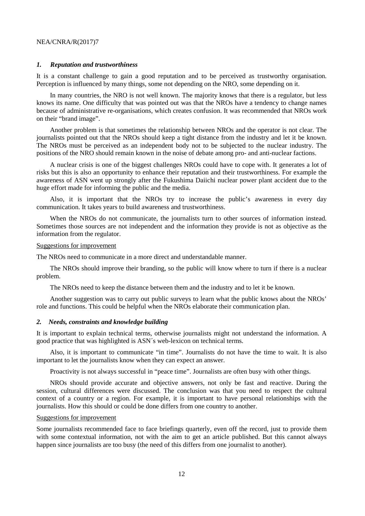#### *1. Reputation and trustworthiness*

It is a constant challenge to gain a good reputation and to be perceived as trustworthy organisation. Perception is influenced by many things, some not depending on the NRO, some depending on it.

In many countries, the NRO is not well known. The majority knows that there is a regulator, but less knows its name. One difficulty that was pointed out was that the NROs have a tendency to change names because of administrative re-organisations, which creates confusion. It was recommended that NROs work on their "brand image".

Another problem is that sometimes the relationship between NROs and the operator is not clear. The journalists pointed out that the NROs should keep a tight distance from the industry and let it be known. The NROs must be perceived as an independent body not to be subjected to the nuclear industry. The positions of the NRO should remain known in the noise of debate among pro- and anti-nuclear factions.

A nuclear crisis is one of the biggest challenges NROs could have to cope with. It generates a lot of risks but this is also an opportunity to enhance their reputation and their trustworthiness. For example the awareness of ASN went up strongly after the Fukushima Daiichi nuclear power plant accident due to the huge effort made for informing the public and the media.

Also, it is important that the NROs try to increase the public's awareness in every day communication. It takes years to build awareness and trustworthiness.

When the NROs do not communicate, the journalists turn to other sources of information instead. Sometimes those sources are not independent and the information they provide is not as objective as the information from the regulator.

#### Suggestions for improvement

The NROs need to communicate in a more direct and understandable manner.

The NROs should improve their branding, so the public will know where to turn if there is a nuclear problem.

The NROs need to keep the distance between them and the industry and to let it be known.

Another suggestion was to carry out public surveys to learn what the public knows about the NROs' role and functions. This could be helpful when the NROs elaborate their communication plan.

#### *2. Needs, constraints and knowledge building*

It is important to explain technical terms, otherwise journalists might not understand the information. A good practice that was highlighted is ASN´s web-lexicon on technical terms.

Also, it is important to communicate "in time". Journalists do not have the time to wait. It is also important to let the journalists know when they can expect an answer.

Proactivity is not always successful in "peace time". Journalists are often busy with other things.

NROs should provide accurate and objective answers, not only be fast and reactive. During the session, cultural differences were discussed. The conclusion was that you need to respect the cultural context of a country or a region. For example, it is important to have personal relationships with the journalists. How this should or could be done differs from one country to another.

#### Suggestions for improvement

Some journalists recommended face to face briefings quarterly, even off the record, just to provide them with some contextual information, not with the aim to get an article published. But this cannot always happen since journalists are too busy (the need of this differs from one journalist to another).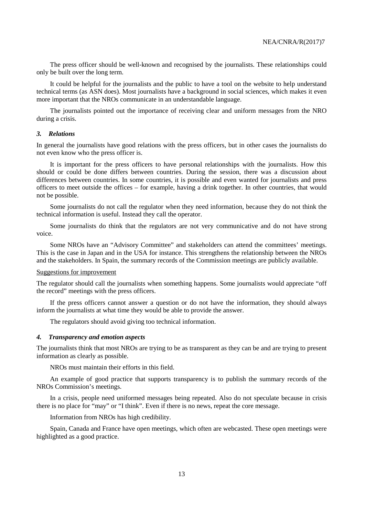The press officer should be well-known and recognised by the journalists. These relationships could only be built over the long term.

It could be helpful for the journalists and the public to have a tool on the website to help understand technical terms (as ASN does). Most journalists have a background in social sciences, which makes it even more important that the NROs communicate in an understandable language.

The journalists pointed out the importance of receiving clear and uniform messages from the NRO during a crisis.

#### *3. Relations*

In general the journalists have good relations with the press officers, but in other cases the journalists do not even know who the press officer is.

It is important for the press officers to have personal relationships with the journalists. How this should or could be done differs between countries. During the session, there was a discussion about differences between countries. In some countries, it is possible and even wanted for journalists and press officers to meet outside the offices – for example, having a drink together. In other countries, that would not be possible.

Some journalists do not call the regulator when they need information, because they do not think the technical information is useful. Instead they call the operator.

Some journalists do think that the regulators are not very communicative and do not have strong voice.

Some NROs have an "Advisory Committee" and stakeholders can attend the committees' meetings. This is the case in Japan and in the USA for instance. This strengthens the relationship between the NROs and the stakeholders. In Spain, the summary records of the Commission meetings are publicly available.

#### Suggestions for improvement

The regulator should call the journalists when something happens. Some journalists would appreciate "off the record" meetings with the press officers.

If the press officers cannot answer a question or do not have the information, they should always inform the journalists at what time they would be able to provide the answer.

The regulators should avoid giving too technical information.

#### *4. Transparency and emotion aspects*

The journalists think that most NROs are trying to be as transparent as they can be and are trying to present information as clearly as possible.

NROs must maintain their efforts in this field.

An example of good practice that supports transparency is to publish the summary records of the NROs Commission's meetings.

In a crisis, people need uniformed messages being repeated. Also do not speculate because in crisis there is no place for "may" or "I think". Even if there is no news, repeat the core message.

Information from NROs has high credibility.

Spain, Canada and France have open meetings, which often are webcasted. These open meetings were highlighted as a good practice.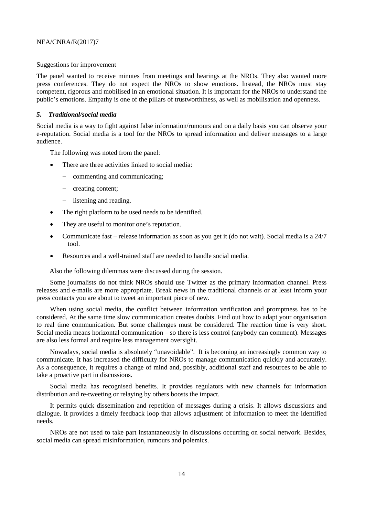#### Suggestions for improvement

The panel wanted to receive minutes from meetings and hearings at the NROs. They also wanted more press conferences. They do not expect the NROs to show emotions. Instead, the NROs must stay competent, rigorous and mobilised in an emotional situation. It is important for the NROs to understand the public's emotions. Empathy is one of the pillars of trustworthiness, as well as mobilisation and openness.

#### *5. Traditional/social media*

Social media is a way to fight against false information/rumours and on a daily basis you can observe your e-reputation. Social media is a tool for the NROs to spread information and deliver messages to a large audience.

The following was noted from the panel:

- There are three activities linked to social media:
	- − commenting and communicating;
	- − creating content;
	- − listening and reading.
- The right platform to be used needs to be identified.
- They are useful to monitor one's reputation.
- Communicate fast release information as soon as you get it (do not wait). Social media is a 24/7 tool.
- Resources and a well-trained staff are needed to handle social media.

Also the following dilemmas were discussed during the session.

Some journalists do not think NROs should use Twitter as the primary information channel. Press releases and e-mails are more appropriate. Break news in the traditional channels or at least inform your press contacts you are about to tweet an important piece of new.

When using social media, the conflict between information verification and promptness has to be considered. At the same time slow communication creates doubts. Find out how to adapt your organisation to real time communication. But some challenges must be considered. The reaction time is very short. Social media means horizontal communication – so there is less control (anybody can comment). Messages are also less formal and require less management oversight.

Nowadays, social media is absolutely "unavoidable". It is becoming an increasingly common way to communicate. It has increased the difficulty for NROs to manage communication quickly and accurately. As a consequence, it requires a change of mind and, possibly, additional staff and resources to be able to take a proactive part in discussions.

Social media has recognised benefits. It provides regulators with new channels for information distribution and re-tweeting or relaying by others boosts the impact.

It permits quick dissemination and repetition of messages during a crisis. It allows discussions and dialogue. It provides a timely feedback loop that allows adjustment of information to meet the identified needs.

NROs are not used to take part instantaneously in discussions occurring on social network. Besides, social media can spread misinformation, rumours and polemics.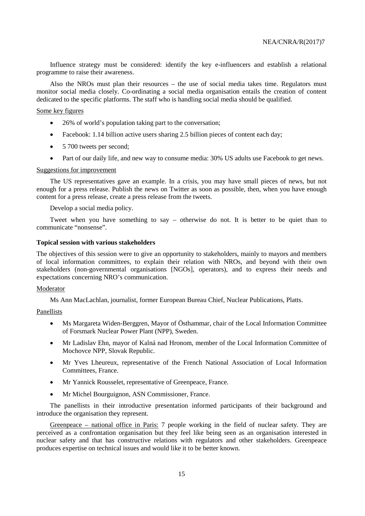Influence strategy must be considered: identify the key e-influencers and establish a relational programme to raise their awareness.

Also the NROs must plan their resources – the use of social media takes time. Regulators must monitor social media closely. Co-ordinating a social media organisation entails the creation of content dedicated to the specific platforms. The staff who is handling social media should be qualified.

#### Some key figures

- 26% of world's population taking part to the conversation;
- Facebook: 1.14 billion active users sharing 2.5 billion pieces of content each day;
- 5 700 tweets per second;
- Part of our daily life, and new way to consume media: 30% US adults use Facebook to get news.

#### Suggestions for improvement

The US representatives gave an example. In a crisis, you may have small pieces of news, but not enough for a press release. Publish the news on Twitter as soon as possible, then, when you have enough content for a press release, create a press release from the tweets.

Develop a social media policy.

Tweet when you have something to say – otherwise do not. It is better to be quiet than to communicate "nonsense".

#### <span id="page-16-0"></span>**Topical session with various stakeholders**

The objectives of this session were to give an opportunity to stakeholders, mainly to mayors and members of local information committees, to explain their relation with NROs, and beyond with their own stakeholders (non-governmental organisations [NGOs], operators), and to express their needs and expectations concerning NRO's communication.

#### Moderator

Ms Ann MacLachlan, journalist, former European Bureau Chief, Nuclear Publications, Platts.

#### Panellists

- Ms Margareta Widen-Berggren, Mayor of Östhammar, chair of the Local Information Committee of Forsmark Nuclear Power Plant (NPP), Sweden.
- Mr Ladislav Ehn, mayor of Kalná nad Hronom, member of the Local Information Committee of Mochovce NPP, Slovak Republic.
- Mr Yves Lheureux, representative of the French National Association of Local Information Committees, France.
- Mr Yannick Rousselet, representative of Greenpeace, France.
- Mr Michel Bourguignon, ASN Commissioner, France.

The panellists in their introductive presentation informed participants of their background and introduce the organisation they represent.

Greenpeace – national office in Paris: 7 people working in the field of nuclear safety. They are perceived as a confrontation organisation but they feel like being seen as an organisation interested in nuclear safety and that has constructive relations with regulators and other stakeholders. Greenpeace produces expertise on technical issues and would like it to be better known.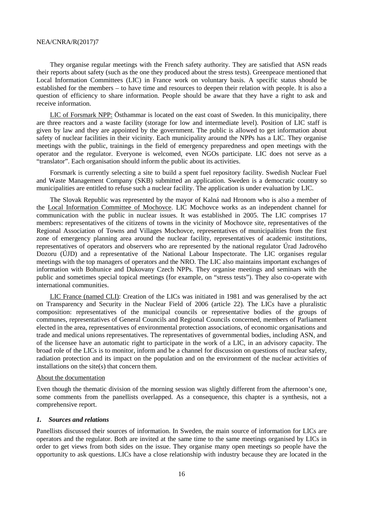They organise regular meetings with the French safety authority. They are satisfied that ASN reads their reports about safety (such as the one they produced about the stress tests). Greenpeace mentioned that Local Information Committees (LIC) in France work on voluntary basis. A specific status should be established for the members – to have time and resources to deepen their relation with people. It is also a question of efficiency to share information. People should be aware that they have a right to ask and receive information.

LIC of Forsmark NPP: Östhammar is located on the east coast of Sweden. In this municipality, there are three reactors and a waste facility (storage for low and intermediate level). Position of LIC staff is given by law and they are appointed by the government. The public is allowed to get information about safety of nuclear facilities in their vicinity. Each municipality around the NPPs has a LIC. They organise meetings with the public, trainings in the field of emergency preparedness and open meetings with the operator and the regulator. Everyone is welcomed, even NGOs participate. LIC does not serve as a "translator". Each organisation should inform the public about its activities.

Forsmark is currently selecting a site to build a spent fuel repository facility. Swedish Nuclear Fuel and Waste Management Company (SKB) submitted an application. Sweden is a democratic country so municipalities are entitled to refuse such a nuclear facility. The application is under evaluation by LIC.

The Slovak Republic was represented by the mayor of Kalná nad Hronom who is also a member of the Local Information Committee of Mochovce. LIC Mochovce works as an independent channel for communication with the public in nuclear issues. It was established in 2005. The LIC comprises 17 members: representatives of the citizens of towns in the vicinity of Mochovce site, representatives of the Regional Association of Towns and Villages Mochovce, representatives of municipalities from the first zone of emergency planning area around the nuclear facility, representatives of academic institutions, representatives of operators and observers who are represented by the national regulator Úrad Jadrového Dozoru (ÚJD) and a representative of the National Labour Inspectorate. The LIC organises regular meetings with the top managers of operators and the NRO. The LIC also maintains important exchanges of information with Bohunice and Dukovany Czech NPPs. They organise meetings and seminars with the public and sometimes special topical meetings (for example, on "stress tests"). They also co-operate with international communities.

LIC France (named CLI): Creation of the LICs was initiated in 1981 and was generalised by the act on Transparency and Security in the Nuclear Field of 2006 (article 22). The LICs have a pluralistic composition: representatives of the municipal councils or representative bodies of the groups of communes, representatives of General Councils and Regional Councils concerned, members of Parliament elected in the area, representatives of environmental protection associations, of economic organisations and trade and medical unions representatives. The representatives of governmental bodies, including ASN, and of the licensee have an automatic right to participate in the work of a LIC, in an advisory capacity. The broad role of the LICs is to monitor, inform and be a channel for discussion on questions of nuclear safety, radiation protection and its impact on the population and on the environment of the nuclear activities of installations on the site(s) that concern them.

#### About the documentation

Even though the thematic division of the morning session was slightly different from the afternoon's one, some comments from the panellists overlapped. As a consequence, this chapter is a synthesis, not a comprehensive report.

#### *1. Sources and relations*

Panellists discussed their sources of information. In Sweden, the main source of information for LICs are operators and the regulator. Both are invited at the same time to the same meetings organised by LICs in order to get views from both sides on the issue. They organise many open meetings so people have the opportunity to ask questions. LICs have a close relationship with industry because they are located in the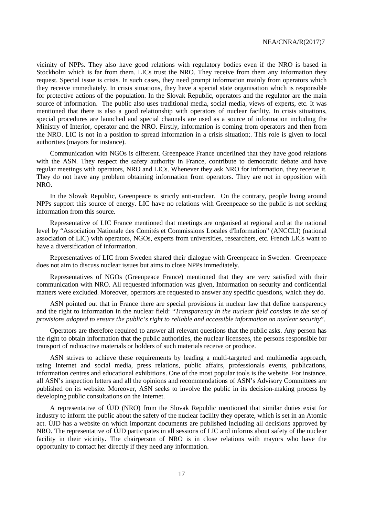vicinity of NPPs. They also have good relations with regulatory bodies even if the NRO is based in Stockholm which is far from them. LICs trust the NRO. They receive from them any information they request. Special issue is crisis. In such cases, they need prompt information mainly from operators which they receive immediately. In crisis situations, they have a special state organisation which is responsible for protective actions of the population. In the Slovak Republic, operators and the regulator are the main source of information. The public also uses traditional media, social media, views of experts, etc. It was mentioned that there is also a good relationship with operators of nuclear facility. In crisis situations, special procedures are launched and special channels are used as a source of information including the Ministry of Interior, operator and the NRO. Firstly, information is coming from operators and then from the NRO. LIC is not in a position to spread information in a crisis situation;. This role is given to local authorities (mayors for instance).

Communication with NGOs is different. Greenpeace France underlined that they have good relations with the ASN. They respect the safety authority in France, contribute to democratic debate and have regular meetings with operators, NRO and LICs. Whenever they ask NRO for information, they receive it. They do not have any problem obtaining information from operators. They are not in opposition with NRO.

In the Slovak Republic, Greenpeace is strictly anti-nuclear. On the contrary, people living around NPPs support this source of energy. LIC have no relations with Greenpeace so the public is not seeking information from this source.

Representative of LIC France mentioned that meetings are organised at regional and at the national level by "Association Nationale des Comités et Commissions Locales d'Information" (ANCCLI) (national association of LIC) with operators, NGOs, experts from universities, researchers, etc. French LICs want to have a diversification of information.

Representatives of LIC from Sweden shared their dialogue with Greenpeace in Sweden. Greenpeace does not aim to discuss nuclear issues but aims to close NPPs immediately.

Representatives of NGOs (Greenpeace France) mentioned that they are very satisfied with their communication with NRO. All requested information was given, Information on security and confidential matters were excluded. Moreover, operators are requested to answer any specific questions, which they do.

ASN pointed out that in France there are special provisions in nuclear law that define transparency and the right to information in the nuclear field: "*Transparency in the nuclear field consists in the set of provisions adopted to ensure the public's right to reliable and accessible information on nuclear security*".

Operators are therefore required to answer all relevant questions that the public asks. Any person has the right to obtain information that the public authorities, the nuclear licensees, the persons responsible for transport of radioactive materials or holders of such materials receive or produce.

ASN strives to achieve these requirements by leading a multi-targeted and multimedia approach, using Internet and social media, press relations, public affairs, professionals events, publications, information centres and educational exhibitions. One of the most popular tools is the website. For instance, all ASN's inspection letters and all the opinions and recommendations of ASN's Advisory Committees are published on its website. Moreover, ASN seeks to involve the public in its decision-making process by developing public consultations on the Internet.

A representative of ÚJD (NRO) from the Slovak Republic mentioned that similar duties exist for industry to inform the public about the safety of the nuclear facility they operate, which is set in an Atomic act. ÚJD has a website on which important documents are published including all decisions approved by NRO. The representative of ÚJD participates in all sessions of LIC and informs about safety of the nuclear facility in their vicinity. The chairperson of NRO is in close relations with mayors who have the opportunity to contact her directly if they need any information.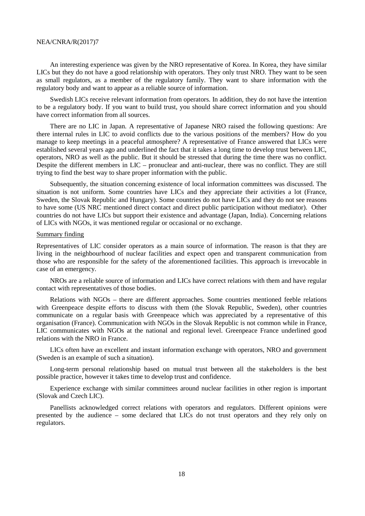An interesting experience was given by the NRO representative of Korea. In Korea, they have similar LICs but they do not have a good relationship with operators. They only trust NRO. They want to be seen as small regulators, as a member of the regulatory family. They want to share information with the regulatory body and want to appear as a reliable source of information.

Swedish LICs receive relevant information from operators. In addition, they do not have the intention to be a regulatory body. If you want to build trust, you should share correct information and you should have correct information from all sources.

There are no LIC in Japan. A representative of Japanese NRO raised the following questions: Are there internal rules in LIC to avoid conflicts due to the various positions of the members? How do you manage to keep meetings in a peaceful atmosphere? A representative of France answered that LICs were established several years ago and underlined the fact that it takes a long time to develop trust between LIC, operators, NRO as well as the public. But it should be stressed that during the time there was no conflict. Despite the different members in LIC – pronuclear and anti-nuclear, there was no conflict. They are still trying to find the best way to share proper information with the public.

Subsequently, the situation concerning existence of local information committees was discussed. The situation is not uniform. Some countries have LICs and they appreciate their activities a lot (France, Sweden, the Slovak Republic and Hungary). Some countries do not have LICs and they do not see reasons to have some (US NRC mentioned direct contact and direct public participation without mediator). Other countries do not have LICs but support their existence and advantage (Japan, India). Concerning relations of LICs with NGOs, it was mentioned regular or occasional or no exchange.

#### Summary finding

Representatives of LIC consider operators as a main source of information. The reason is that they are living in the neighbourhood of nuclear facilities and expect open and transparent communication from those who are responsible for the safety of the aforementioned facilities. This approach is irrevocable in case of an emergency.

NROs are a reliable source of information and LICs have correct relations with them and have regular contact with representatives of those bodies.

Relations with NGOs – there are different approaches. Some countries mentioned feeble relations with Greenpeace despite efforts to discuss with them (the Slovak Republic, Sweden), other countries communicate on a regular basis with Greenpeace which was appreciated by a representative of this organisation (France). Communication with NGOs in the Slovak Republic is not common while in France, LIC communicates with NGOs at the national and regional level. Greenpeace France underlined good relations with the NRO in France.

LICs often have an excellent and instant information exchange with operators, NRO and government (Sweden is an example of such a situation).

Long-term personal relationship based on mutual trust between all the stakeholders is the best possible practice, however it takes time to develop trust and confidence.

Experience exchange with similar committees around nuclear facilities in other region is important (Slovak and Czech LIC).

Panellists acknowledged correct relations with operators and regulators. Different opinions were presented by the audience – some declared that LICs do not trust operators and they rely only on regulators.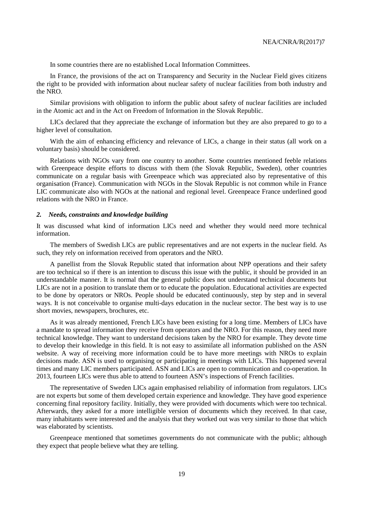In some countries there are no established Local Information Committees.

In France, the provisions of the act on Transparency and Security in the Nuclear Field gives citizens the right to be provided with information about nuclear safety of nuclear facilities from both industry and the NRO.

Similar provisions with obligation to inform the public about safety of nuclear facilities are included in the Atomic act and in the Act on Freedom of Information in the Slovak Republic.

LICs declared that they appreciate the exchange of information but they are also prepared to go to a higher level of consultation.

With the aim of enhancing efficiency and relevance of LICs, a change in their status (all work on a voluntary basis) should be considered.

Relations with NGOs vary from one country to another. Some countries mentioned feeble relations with Greenpeace despite efforts to discuss with them (the Slovak Republic, Sweden), other countries communicate on a regular basis with Greenpeace which was appreciated also by representative of this organisation (France). Communication with NGOs in the Slovak Republic is not common while in France LIC communicate also with NGOs at the national and regional level. Greenpeace France underlined good relations with the NRO in France.

#### *2. Needs, constraints and knowledge building*

It was discussed what kind of information LICs need and whether they would need more technical information.

The members of Swedish LICs are public representatives and are not experts in the nuclear field. As such, they rely on information received from operators and the NRO.

A panellist from the Slovak Republic stated that information about NPP operations and their safety are too technical so if there is an intention to discuss this issue with the public, it should be provided in an understandable manner. It is normal that the general public does not understand technical documents but LICs are not in a position to translate them or to educate the population. Educational activities are expected to be done by operators or NROs. People should be educated continuously, step by step and in several ways. It is not conceivable to organise multi-days education in the nuclear sector. The best way is to use short movies, newspapers, brochures, etc.

As it was already mentioned, French LICs have been existing for a long time. Members of LICs have a mandate to spread information they receive from operators and the NRO. For this reason, they need more technical knowledge. They want to understand decisions taken by the NRO for example. They devote time to develop their knowledge in this field. It is not easy to assimilate all information published on the ASN website. A way of receiving more information could be to have more meetings with NROs to explain decisions made. ASN is used to organising or participating in meetings with LICs. This happened several times and many LIC members participated. ASN and LICs are open to communication and co-operation. In 2013, fourteen LICs were thus able to attend to fourteen ASN's inspections of French facilities.

The representative of Sweden LICs again emphasised reliability of information from regulators. LICs are not experts but some of them developed certain experience and knowledge. They have good experience concerning final repository facility. Initially, they were provided with documents which were too technical. Afterwards, they asked for a more intelligible version of documents which they received. In that case, many inhabitants were interested and the analysis that they worked out was very similar to those that which was elaborated by scientists.

Greenpeace mentioned that sometimes governments do not communicate with the public; although they expect that people believe what they are telling.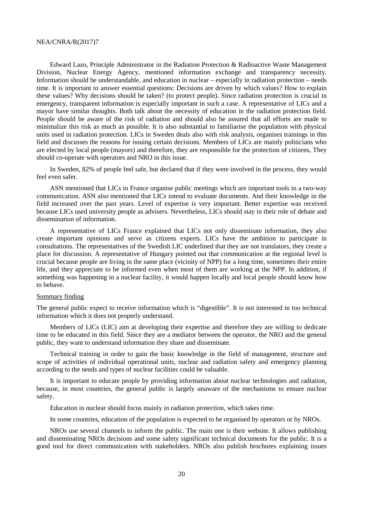Edward Lazo, Principle Administrator in the Radiation Protection & Radioactive Waste Management Division, Nuclear Energy Agency, mentioned information exchange and transparency necessity. Information should be understandable, and education in nuclear – especially in radiation protection – needs time. It is important to answer essential questions: Decisions are driven by which values? How to explain these values? Why decisions should be taken? (to protect people). Since radiation protection is crucial in emergency, transparent information is especially important in such a case. A representative of LICs and a mayor have similar thoughts. Both talk about the necessity of education in the radiation protection field. People should be aware of the risk of radiation and should also be assured that all efforts are made to minimalize this risk as much as possible. It is also substantial to familiarise the population with physical units used in radiation protection. LICs in Sweden deals also with risk analysis, organises trainings in this field and discusses the reasons for issuing certain decisions. Members of LICs are mainly politicians who are elected by local people (mayors) and therefore, they are responsible for the protection of citizens, They should co-operate with operators and NRO in this issue.

In Sweden, 82% of people feel safe, but declared that if they were involved in the process, they would feel even safer.

ASN mentioned that LICs in France organise public meetings which are important tools in a two-way communication. ASN also mentioned that LICs intend to evaluate documents. And their knowledge in the field increased over the past years. Level of expertise is very important. Better expertise was received because LICs used university people as advisers. Nevertheless, LICs should stay in their role of debate and dissemination of information.

A representative of LICs France explained that LICs not only disseminate information, they also create important opinions and serve as citizens experts. LICs have the ambition to participate in consultations. The representatives of the Swedish LIC underlined that they are not translators, they create a place for discussion. A representative of Hungary pointed out that communication at the regional level is crucial because people are living in the same place (vicinity of NPP) for a long time, sometimes their entire life, and they appreciate to be informed even when most of them are working at the NPP. In addition, if something was happening in a nuclear facility, it would happen locally and local people should know how to behave.

#### Summary finding

The general public expect to receive information which is "digestible". It is not interested in too technical information which it does not properly understand.

Members of LICs (LIC) aim at developing their expertise and therefore they are willing to dedicate time to be educated in this field. Since they are a mediator between the operator, the NRO and the general public, they want to understand information they share and disseminate.

Technical training in order to gain the basic knowledge in the field of management, structure and scope of activities of individual operational units, nuclear and radiation safety and emergency planning according to the needs and types of nuclear facilities could be valuable.

It is important to educate people by providing information about nuclear technologies and radiation, because, in most countries, the general public is largely unaware of the mechanisms to ensure nuclear safety.

Education in nuclear should focus mainly in radiation protection, which takes time.

In some countries, education of the population is expected to be organised by operators or by NROs.

NROs use several channels to inform the public. The main one is their website. It allows publishing and disseminating NROs decisions and some safety significant technical documents for the public. It is a good tool for direct communication with stakeholders. NROs also publish brochures explaining issues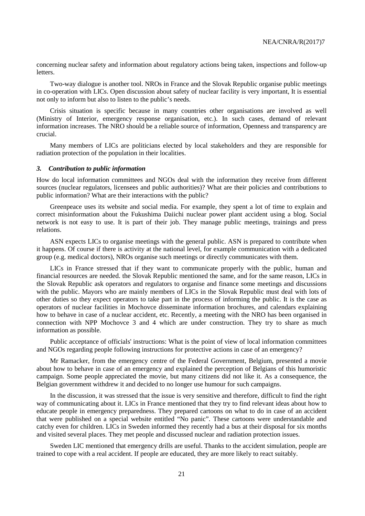concerning nuclear safety and information about regulatory actions being taken, inspections and follow-up **letters** 

Two-way dialogue is another tool. NROs in France and the Slovak Republic organise public meetings in co-operation with LICs. Open discussion about safety of nuclear facility is very important, It is essential not only to inform but also to listen to the public's needs.

Crisis situation is specific because in many countries other organisations are involved as well (Ministry of Interior, emergency response organisation, etc.). In such cases, demand of relevant information increases. The NRO should be a reliable source of information, Openness and transparency are crucial.

Many members of LICs are politicians elected by local stakeholders and they are responsible for radiation protection of the population in their localities.

#### *3. Contribution to public information*

How do local information committees and NGOs deal with the information they receive from different sources (nuclear regulators, licensees and public authorities)? What are their policies and contributions to public information? What are their interactions with the public?

Greenpeace uses its website and social media. For example, they spent a lot of time to explain and correct misinformation about the Fukushima Daiichi nuclear power plant accident using a blog. Social network is not easy to use. It is part of their job. They manage public meetings, trainings and press relations.

ASN expects LICs to organise meetings with the general public. ASN is prepared to contribute when it happens. Of course if there is activity at the national level, for example communication with a dedicated group (e.g. medical doctors), NROs organise such meetings or directly communicates with them.

LICs in France stressed that if they want to communicate properly with the public, human and financial resources are needed. the Slovak Republic mentioned the same, and for the same reason, LICs in the Slovak Republic ask operators and regulators to organise and finance some meetings and discussions with the public. Mayors who are mainly members of LICs in the Slovak Republic must deal with lots of other duties so they expect operators to take part in the process of informing the public. It is the case as operators of nuclear facilities in Mochovce disseminate information brochures, and calendars explaining how to behave in case of a nuclear accident, etc. Recently, a meeting with the NRO has been organised in connection with NPP Mochovce 3 and 4 which are under construction. They try to share as much information as possible.

Public acceptance of officials' instructions: What is the point of view of local information committees and NGOs regarding people following instructions for protective actions in case of an emergency?

Mr Ramacker, from the emergency centre of the Federal Government, Belgium, presented a movie about how to behave in case of an emergency and explained the perception of Belgians of this humoristic campaign. Some people appreciated the movie, but many citizens did not like it. As a consequence, the Belgian government withdrew it and decided to no longer use humour for such campaigns.

In the discussion, it was stressed that the issue is very sensitive and therefore, difficult to find the right way of communicating about it. LICs in France mentioned that they try to find relevant ideas about how to educate people in emergency preparedness. They prepared cartoons on what to do in case of an accident that were published on a special website entitled "No panic". These cartoons were understandable and catchy even for children. LICs in Sweden informed they recently had a bus at their disposal for six months and visited several places. They met people and discussed nuclear and radiation protection issues.

Sweden LIC mentioned that emergency drills are useful. Thanks to the accident simulation, people are trained to cope with a real accident. If people are educated, they are more likely to react suitably.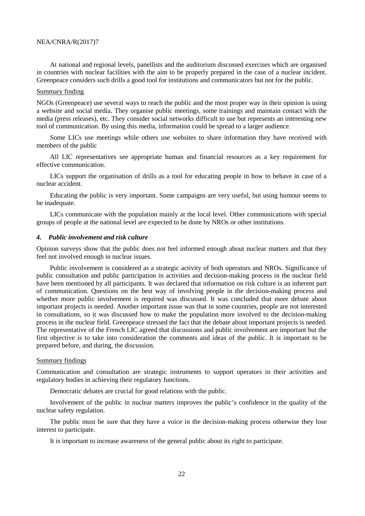At national and regional levels, panellists and the auditorium discussed exercises which are organised in countries with nuclear facilities with the aim to be properly prepared in the case of a nuclear incident. Greenpeace considers such drills a good tool for institutions and communicators but not for the public.

#### Summary finding

NGOs (Greenpeace) use several ways to reach the public and the most proper way in their opinion is using a website and social media. They organise public meetings, some trainings and maintain contact with the media (press releases), etc. They consider social networks difficult to use but represents an interesting new tool of communication. By using this media, information could be spread to a larger audience.

Some LICs use meetings while others use websites to share information they have received with members of the public

All LIC representatives see appropriate human and financial resources as a key requirement for effective communication.

LICs support the organisation of drills as a tool for educating people in how to behave in case of a nuclear accident.

Educating the public is very important. Some campaigns are very useful, but using humour seems to be inadequate.

LICs communicate with the population mainly at the local level. Other communications with special groups of people at the national level are expected to be done by NROs or other institutions.

#### *4. Public involvement and risk culture*

Opinion surveys show that the public does not feel informed enough about nuclear matters and that they feel not involved enough in nuclear issues.

Public involvement is considered as a strategic activity of both operators and NROs. Significance of public consultation and public participation in activities and decision-making process in the nuclear field have been mentioned by all participants. It was declared that information on risk culture is an inherent part of communication. Questions on the best way of involving people in the decision-making process and whether more public involvement is required was discussed. It was concluded that more debate about important projects is needed. Another important issue was that in some countries, people are not interested in consultations, so it was discussed how to make the population more involved to the decision-making process in the nuclear field. Greenpeace stressed the fact that the debate about important projects is needed. The representative of the French LIC agreed that discussions and public involvement are important but the first objective is to take into consideration the comments and ideas of the public. It is important to be prepared before, and during, the discussion.

#### Summary findings

Communication and consultation are strategic instruments to support operators in their activities and regulatory bodies in achieving their regulatory functions.

Democratic debates are crucial for good relations with the public.

Involvement of the public in nuclear matters improves the public's confidence in the quality of the nuclear safety regulation.

The public must be sure that they have a voice in the decision-making process otherwise they lose interest to participate.

It is important to increase awareness of the general public about its right to participate.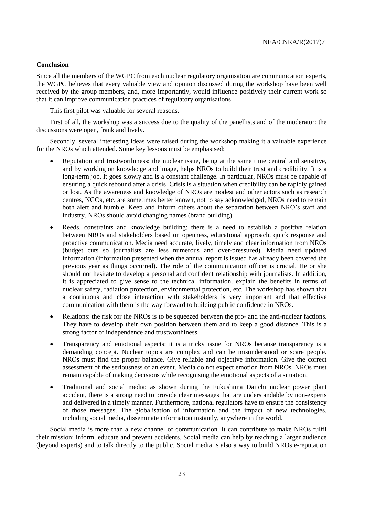#### <span id="page-24-0"></span>**Conclusion**

Since all the members of the WGPC from each nuclear regulatory organisation are communication experts, the WGPC believes that every valuable view and opinion discussed during the workshop have been well received by the group members, and, more importantly, would influence positively their current work so that it can improve communication practices of regulatory organisations.

This first pilot was valuable for several reasons.

First of all, the workshop was a success due to the quality of the panellists and of the moderator: the discussions were open, frank and lively.

Secondly, several interesting ideas were raised during the workshop making it a valuable experience for the NROs which attended. Some key lessons must be emphasised:

- Reputation and trustworthiness: the nuclear issue, being at the same time central and sensitive, and by working on knowledge and image, helps NROs to build their trust and credibility. It is a long-term job. It goes slowly and is a constant challenge. In particular, NROs must be capable of ensuring a quick rebound after a crisis. Crisis is a situation when credibility can be rapidly gained or lost. As the awareness and knowledge of NROs are modest and other actors such as research centres, NGOs, etc. are sometimes better known, not to say acknowledged, NROs need to remain both alert and humble. Keep and inform others about the separation between NRO's staff and industry. NROs should avoid changing names (brand building).
- Reeds, constraints and knowledge building: there is a need to establish a positive relation between NROs and stakeholders based on openness, educational approach, quick response and proactive communication. Media need accurate, lively, timely and clear information from NROs (budget cuts so journalists are less numerous and over-pressured). Media need updated information (information presented when the annual report is issued has already been covered the previous year as things occurred). The role of the communication officer is crucial. He or she should not hesitate to develop a personal and confident relationship with journalists. In addition, it is appreciated to give sense to the technical information, explain the benefits in terms of nuclear safety, radiation protection, environmental protection, etc. The workshop has shown that a continuous and close interaction with stakeholders is very important and that effective communication with them is the way forward to building public confidence in NROs.
- Relations: the risk for the NROs is to be squeezed between the pro- and the anti-nuclear factions. They have to develop their own position between them and to keep a good distance. This is a strong factor of independence and trustworthiness.
- Transparency and emotional aspects: it is a tricky issue for NROs because transparency is a demanding concept. Nuclear topics are complex and can be misunderstood or scare people. NROs must find the proper balance. Give reliable and objective information. Give the correct assessment of the seriousness of an event. Media do not expect emotion from NROs. NROs must remain capable of making decisions while recognising the emotional aspects of a situation.
- Traditional and social media: as shown during the Fukushima Daiichi nuclear power plant accident, there is a strong need to provide clear messages that are understandable by non-experts and delivered in a timely manner. Furthermore, national regulators have to ensure the consistency of those messages. The globalisation of information and the impact of new technologies, including social media, disseminate information instantly, anywhere in the world.

Social media is more than a new channel of communication. It can contribute to make NROs fulfil their mission: inform, educate and prevent accidents. Social media can help by reaching a larger audience (beyond experts) and to talk directly to the public. Social media is also a way to build NROs e-reputation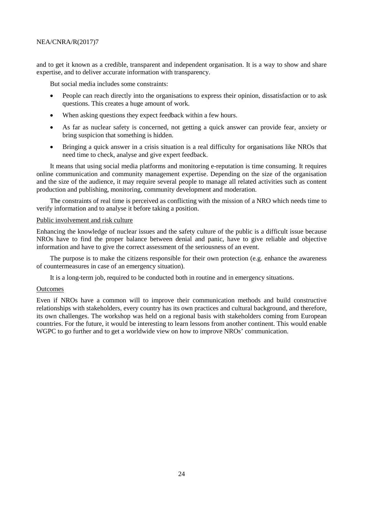and to get it known as a credible, transparent and independent organisation. It is a way to show and share expertise, and to deliver accurate information with transparency.

But social media includes some constraints:

- People can reach directly into the organisations to express their opinion, dissatisfaction or to ask questions. This creates a huge amount of work.
- When asking questions they expect feedback within a few hours.
- As far as nuclear safety is concerned, not getting a quick answer can provide fear, anxiety or bring suspicion that something is hidden.
- Bringing a quick answer in a crisis situation is a real difficulty for organisations like NROs that need time to check, analyse and give expert feedback.

It means that using social media platforms and monitoring e-reputation is time consuming. It requires online communication and community management expertise. Depending on the size of the organisation and the size of the audience, it may require several people to manage all related activities such as content production and publishing, monitoring, community development and moderation.

The constraints of real time is perceived as conflicting with the mission of a NRO which needs time to verify information and to analyse it before taking a position.

#### Public involvement and risk culture

Enhancing the knowledge of nuclear issues and the safety culture of the public is a difficult issue because NROs have to find the proper balance between denial and panic, have to give reliable and objective information and have to give the correct assessment of the seriousness of an event.

The purpose is to make the citizens responsible for their own protection (e.g. enhance the awareness of countermeasures in case of an emergency situation).

It is a long-term job, required to be conducted both in routine and in emergency situations.

#### **Outcomes**

Even if NROs have a common will to improve their communication methods and build constructive relationships with stakeholders, every country has its own practices and cultural background, and therefore, its own challenges. The workshop was held on a regional basis with stakeholders coming from European countries. For the future, it would be interesting to learn lessons from another continent. This would enable WGPC to go further and to get a worldwide view on how to improve NROs' communication.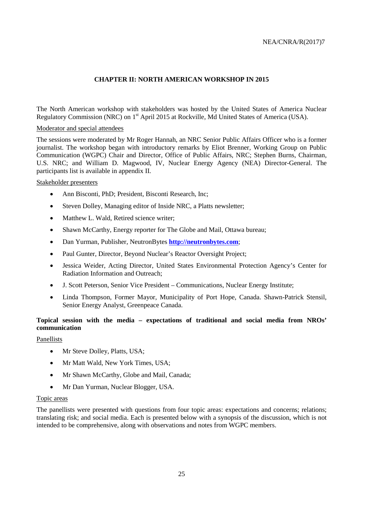### **CHAPTER II: NORTH AMERICAN WORKSHOP IN 2015**

<span id="page-26-0"></span>The North American workshop with stakeholders was hosted by the United States of America Nuclear Regulatory Commission (NRC) on 1<sup>st</sup> April 2015 at Rockville, Md United States of America (USA).

#### Moderator and special attendees

The sessions were moderated by Mr Roger Hannah, an NRC Senior Public Affairs Officer who is a former journalist. The workshop began with introductory remarks by Eliot Brenner, Working Group on Public Communication (WGPC) Chair and Director, Office of Public Affairs, NRC; Stephen Burns, Chairman, U.S. NRC; and William D. Magwood, IV, Nuclear Energy Agency (NEA) Director-General. The participants list is available in appendix II.

#### Stakeholder presenters

- Ann Bisconti, PhD; President, Bisconti Research, Inc;
- Steven Dolley, Managing editor of Inside NRC, a Platts newsletter;
- Matthew L. Wald, Retired science writer;
- Shawn McCarthy, Energy reporter for The Globe and Mail, Ottawa bureau;
- Dan Yurman, Publisher, NeutronBytes **[http://neutronbytes.com](http://neutronbytes.com/)**;
- Paul Gunter, Director, Beyond Nuclear's Reactor Oversight Project;
- Jessica Weider, Acting Director, United States Environmental Protection Agency's Center for Radiation Information and Outreach;
- J. Scott Peterson, Senior Vice President Communications, Nuclear Energy Institute;
- Linda Thompson, Former Mayor, Municipality of Port Hope, Canada. Shawn-Patrick Stensil, Senior Energy Analyst, Greenpeace Canada.

### <span id="page-26-1"></span>**Topical session with the media – expectations of traditional and social media from NROs' communication**

#### Panellists

- Mr Steve Dolley, Platts, USA;
- Mr Matt Wald, New York Times, USA;
- Mr Shawn McCarthy, Globe and Mail, Canada;
- Mr Dan Yurman, Nuclear Blogger, USA.

#### Topic areas

The panellists were presented with questions from four topic areas: expectations and concerns; relations; translating risk; and social media. Each is presented below with a synopsis of the discussion, which is not intended to be comprehensive, along with observations and notes from WGPC members.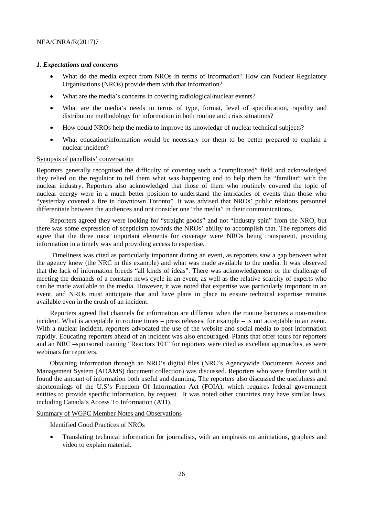#### *1. Expectations and concerns*

- What do the media expect from NROs in terms of information? How can Nuclear Regulatory Organisations (NROs) provide them with that information?
- What are the media's concerns in covering radiological/nuclear events?
- What are the media's needs in terms of type, format, level of specification, rapidity and distribution methodology for information in both routine and crisis situations?
- How could NROs help the media to improve its knowledge of nuclear technical subjects?
- What education/information would be necessary for them to be better prepared to explain a nuclear incident?

#### Synopsis of panellists' conversation

Reporters generally recognised the difficulty of covering such a "complicated" field and acknowledged they relied on the regulator to tell them what was happening and to help them be "familiar" with the nuclear industry. Reporters also acknowledged that those of them who routinely covered the topic of nuclear energy were in a much better position to understand the intricacies of events than those who "yesterday covered a fire in downtown Toronto". It was advised that NROs' public relations personnel differentiate between the audiences and not consider one "the media" in their communications.

Reporters agreed they were looking for "straight goods" and not "industry spin" from the NRO, but there was some expression of scepticism towards the NROs' ability to accomplish that. The reporters did agree that the three most important elements for coverage were NROs being transparent, providing information in a timely way and providing access to expertise.

Timeliness was cited as particularly important during an event, as reporters saw a gap between what the agency knew (the NRC in this example) and what was made available to the media. It was observed that the lack of information breeds "all kinds of ideas". There was acknowledgement of the challenge of meeting the demands of a constant news cycle in an event, as well as the relative scarcity of experts who can be made available to the media. However, it was noted that expertise was particularly important in an event, and NROs must anticipate that and have plans in place to ensure technical expertise remains available even in the crush of an incident.

Reporters agreed that channels for information are different when the routine becomes a non-routine incident. What is acceptable in routine times – press releases, for example – is not acceptable in an event. With a nuclear incident, reporters advocated the use of the website and social media to post information rapidly. Educating reporters ahead of an incident was also encouraged. Plants that offer tours for reporters and an NRC –sponsored training "Reactors 101" for reporters were cited as excellent approaches, as were webinars for reporters.

Obtaining information through an NRO's digital files (NRC's Agencywide Documents Access and Management System (ADAMS) document collection) was discussed. Reporters who were familiar with it found the amount of information both useful and daunting. The reporters also discussed the usefulness and shortcomings of the U.S's Freedom Of Information Act (FOIA), which requires federal government entities to provide specific information, by request. It was noted other countries may have similar laws, including Canada's Access To Information (ATI).

Summary of WGPC Member Notes and Observations

Identified Good Practices of NROs

• Translating technical information for journalists, with an emphasis on animations, graphics and video to explain material.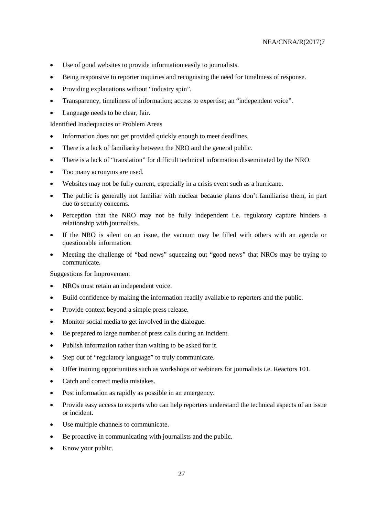- Use of good websites to provide information easily to journalists.
- Being responsive to reporter inquiries and recognising the need for timeliness of response.
- Providing explanations without "industry spin".
- Transparency, timeliness of information; access to expertise; an "independent voice".
- Language needs to be clear, fair.

- Information does not get provided quickly enough to meet deadlines.
- There is a lack of familiarity between the NRO and the general public.
- There is a lack of "translation" for difficult technical information disseminated by the NRO.
- Too many acronyms are used.
- Websites may not be fully current, especially in a crisis event such as a hurricane.
- The public is generally not familiar with nuclear because plants don't familiarise them, in part due to security concerns.
- Perception that the NRO may not be fully independent i.e. regulatory capture hinders a relationship with journalists.
- If the NRO is silent on an issue, the vacuum may be filled with others with an agenda or questionable information.
- Meeting the challenge of "bad news" squeezing out "good news" that NROs may be trying to communicate.

Suggestions for Improvement

- NROs must retain an independent voice.
- Build confidence by making the information readily available to reporters and the public.
- Provide context beyond a simple press release.
- Monitor social media to get involved in the dialogue.
- Be prepared to large number of press calls during an incident.
- Publish information rather than waiting to be asked for it.
- Step out of "regulatory language" to truly communicate.
- Offer training opportunities such as workshops or webinars for journalists i.e. Reactors 101.
- Catch and correct media mistakes.
- Post information as rapidly as possible in an emergency.
- Provide easy access to experts who can help reporters understand the technical aspects of an issue or incident.
- Use multiple channels to communicate.
- Be proactive in communicating with journalists and the public.
- Know your public.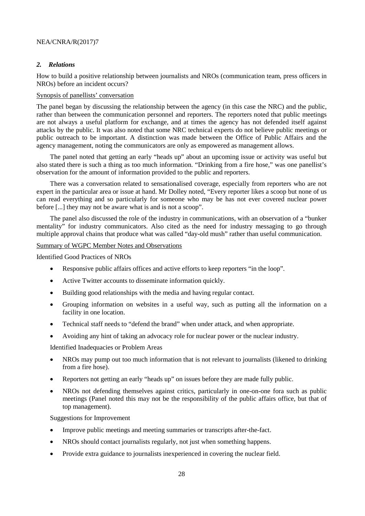### *2. Relations*

How to build a positive relationship between journalists and NROs (communication team, press officers in NROs) before an incident occurs?

#### Synopsis of panellists' conversation

The panel began by discussing the relationship between the agency (in this case the NRC) and the public, rather than between the communication personnel and reporters. The reporters noted that public meetings are not always a useful platform for exchange, and at times the agency has not defended itself against attacks by the public. It was also noted that some NRC technical experts do not believe public meetings or public outreach to be important. A distinction was made between the Office of Public Affairs and the agency management, noting the communicators are only as empowered as management allows.

The panel noted that getting an early "heads up" about an upcoming issue or activity was useful but also stated there is such a thing as too much information. "Drinking from a fire hose," was one panellist's observation for the amount of information provided to the public and reporters.

There was a conversation related to sensationalised coverage, especially from reporters who are not expert in the particular area or issue at hand. Mr Dolley noted, "Every reporter likes a scoop but none of us can read everything and so particularly for someone who may be has not ever covered nuclear power before [...] they may not be aware what is and is not a scoop".

The panel also discussed the role of the industry in communications, with an observation of a "bunker mentality" for industry communicators. Also cited as the need for industry messaging to go through multiple approval chains that produce what was called "day-old mush" rather than useful communication.

#### Summary of WGPC Member Notes and Observations

Identified Good Practices of NROs

- Responsive public affairs offices and active efforts to keep reporters "in the loop".
- Active Twitter accounts to disseminate information quickly.
- Building good relationships with the media and having regular contact.
- Grouping information on websites in a useful way, such as putting all the information on a facility in one location.
- Technical staff needs to "defend the brand" when under attack, and when appropriate.
- Avoiding any hint of taking an advocacy role for nuclear power or the nuclear industry.

Identified Inadequacies or Problem Areas

- NROs may pump out too much information that is not relevant to journalists (likened to drinking from a fire hose).
- Reporters not getting an early "heads up" on issues before they are made fully public.
- NROs not defending themselves against critics, particularly in one-on-one fora such as public meetings (Panel noted this may not be the responsibility of the public affairs office, but that of top management).

Suggestions for Improvement

- Improve public meetings and meeting summaries or transcripts after-the-fact.
- NROs should contact journalists regularly, not just when something happens.
- Provide extra guidance to journalists inexperienced in covering the nuclear field.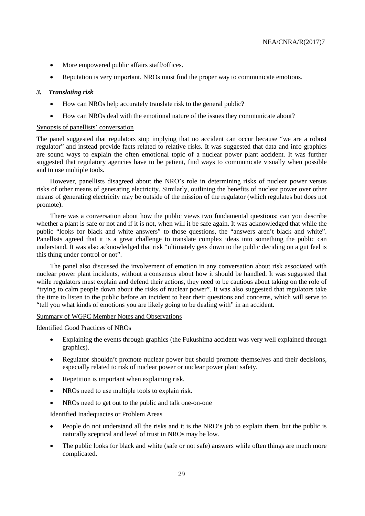- More empowered public affairs staff/offices.
- Reputation is very important. NROs must find the proper way to communicate emotions.

#### *3. Translating risk*

- How can NROs help accurately translate risk to the general public?
- How can NROs deal with the emotional nature of the issues they communicate about?

#### Synopsis of panellists' conversation

The panel suggested that regulators stop implying that no accident can occur because "we are a robust regulator" and instead provide facts related to relative risks. It was suggested that data and info graphics are sound ways to explain the often emotional topic of a nuclear power plant accident. It was further suggested that regulatory agencies have to be patient, find ways to communicate visually when possible and to use multiple tools.

However, panellists disagreed about the NRO's role in determining risks of nuclear power versus risks of other means of generating electricity. Similarly, outlining the benefits of nuclear power over other means of generating electricity may be outside of the mission of the regulator (which regulates but does not promote).

There was a conversation about how the public views two fundamental questions: can you describe whether a plant is safe or not and if it is not, when will it be safe again. It was acknowledged that while the public "looks for black and white answers" to those questions, the "answers aren't black and white". Panellists agreed that it is a great challenge to translate complex ideas into something the public can understand. It was also acknowledged that risk "ultimately gets down to the public deciding on a gut feel is this thing under control or not".

The panel also discussed the involvement of emotion in any conversation about risk associated with nuclear power plant incidents, without a consensus about how it should be handled. It was suggested that while regulators must explain and defend their actions, they need to be cautious about taking on the role of "trying to calm people down about the risks of nuclear power". It was also suggested that regulators take the time to listen to the public before an incident to hear their questions and concerns, which will serve to "tell you what kinds of emotions you are likely going to be dealing with" in an accident.

Summary of WGPC Member Notes and Observations

Identified Good Practices of NROs

- Explaining the events through graphics (the Fukushima accident was very well explained through graphics).
- Regulator shouldn't promote nuclear power but should promote themselves and their decisions, especially related to risk of nuclear power or nuclear power plant safety.
- Repetition is important when explaining risk.
- NROs need to use multiple tools to explain risk.
- NROs need to get out to the public and talk one-on-one

Identified Inadequacies or Problem Areas

- People do not understand all the risks and it is the NRO's job to explain them, but the public is naturally sceptical and level of trust in NROs may be low.
- The public looks for black and white (safe or not safe) answers while often things are much more complicated.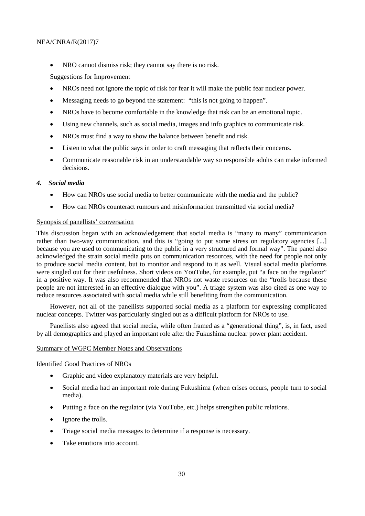• NRO cannot dismiss risk; they cannot say there is no risk.

Suggestions for Improvement

- NROs need not ignore the topic of risk for fear it will make the public fear nuclear power.
- Messaging needs to go beyond the statement: "this is not going to happen".
- NROs have to become comfortable in the knowledge that risk can be an emotional topic.
- Using new channels, such as social media, images and info graphics to communicate risk.
- NROs must find a way to show the balance between benefit and risk.
- Listen to what the public says in order to craft messaging that reflects their concerns.
- Communicate reasonable risk in an understandable way so responsible adults can make informed decisions.

#### *4. Social media*

- How can NROs use social media to better communicate with the media and the public?
- How can NROs counteract rumours and misinformation transmitted via social media?

#### Synopsis of panellists' conversation

This discussion began with an acknowledgement that social media is "many to many" communication rather than two-way communication, and this is "going to put some stress on regulatory agencies [...] because you are used to communicating to the public in a very structured and formal way". The panel also acknowledged the strain social media puts on communication resources, with the need for people not only to produce social media content, but to monitor and respond to it as well. Visual social media platforms were singled out for their usefulness. Short videos on YouTube, for example, put "a face on the regulator" in a positive way. It was also recommended that NROs not waste resources on the "trolls because these people are not interested in an effective dialogue with you". A triage system was also cited as one way to reduce resources associated with social media while still benefiting from the communication.

However, not all of the panellists supported social media as a platform for expressing complicated nuclear concepts. Twitter was particularly singled out as a difficult platform for NROs to use.

Panellists also agreed that social media, while often framed as a "generational thing", is, in fact, used by all demographics and played an important role after the Fukushima nuclear power plant accident.

#### Summary of WGPC Member Notes and Observations

Identified Good Practices of NROs

- Graphic and video explanatory materials are very helpful.
- Social media had an important role during Fukushima (when crises occurs, people turn to social media).
- Putting a face on the regulator (via YouTube, etc.) helps strengthen public relations.
- Ignore the trolls.
- Triage social media messages to determine if a response is necessary.
- Take emotions into account.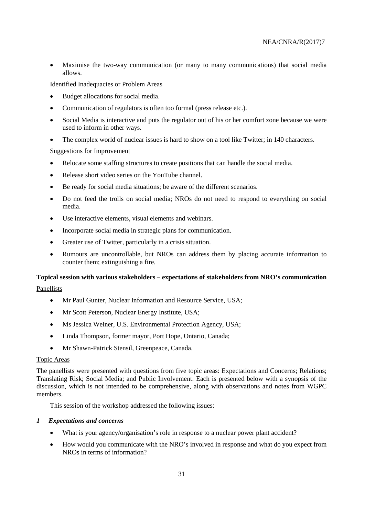• Maximise the two-way communication (or many to many communications) that social media allows.

Identified Inadequacies or Problem Areas

- Budget allocations for social media.
- Communication of regulators is often too formal (press release etc.).
- Social Media is interactive and puts the regulator out of his or her comfort zone because we were used to inform in other ways.
- The complex world of nuclear issues is hard to show on a tool like Twitter; in 140 characters.

Suggestions for Improvement

- Relocate some staffing structures to create positions that can handle the social media.
- Release short video series on the YouTube channel.
- Be ready for social media situations; be aware of the different scenarios.
- Do not feed the trolls on social media; NROs do not need to respond to everything on social media.
- Use interactive elements, visual elements and webinars.
- Incorporate social media in strategic plans for communication.
- Greater use of Twitter, particularly in a crisis situation.
- Rumours are uncontrollable, but NROs can address them by placing accurate information to counter them; extinguishing a fire.

## <span id="page-32-0"></span>**Topical session with various stakeholders – expectations of stakeholders from NRO's communication**

Panellists

- Mr Paul Gunter, Nuclear Information and Resource Service, USA;
- Mr Scott Peterson, Nuclear Energy Institute, USA;
- Ms Jessica Weiner, U.S. Environmental Protection Agency, USA;
- Linda Thompson, former mayor, Port Hope, Ontario, Canada;
- Mr Shawn-Patrick Stensil, Greenpeace, Canada.

#### Topic Areas

The panellists were presented with questions from five topic areas: Expectations and Concerns; Relations; Translating Risk; Social Media; and Public Involvement. Each is presented below with a synopsis of the discussion, which is not intended to be comprehensive, along with observations and notes from WGPC members.

This session of the workshop addressed the following issues:

#### *1 Expectations and concerns*

- What is your agency/organisation's role in response to a nuclear power plant accident?
- How would you communicate with the NRO's involved in response and what do you expect from NROs in terms of information?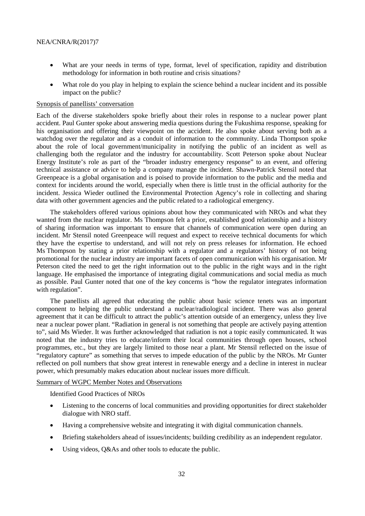- What are your needs in terms of type, format, level of specification, rapidity and distribution methodology for information in both routine and crisis situations?
- What role do you play in helping to explain the science behind a nuclear incident and its possible impact on the public?

#### Synopsis of panellists' conversation

Each of the diverse stakeholders spoke briefly about their roles in response to a nuclear power plant accident. Paul Gunter spoke about answering media questions during the Fukushima response, speaking for his organisation and offering their viewpoint on the accident. He also spoke about serving both as a watchdog over the regulator and as a conduit of information to the community. Linda Thompson spoke about the role of local government/municipality in notifying the public of an incident as well as challenging both the regulator and the industry for accountability. Scott Peterson spoke about Nuclear Energy Institute's role as part of the "broader industry emergency response" to an event, and offering technical assistance or advice to help a company manage the incident. Shawn-Patrick Stensil noted that Greenpeace is a global organisation and is poised to provide information to the public and the media and context for incidents around the world, especially when there is little trust in the official authority for the incident. Jessica Wieder outlined the Environmental Protection Agency's role in collecting and sharing data with other government agencies and the public related to a radiological emergency.

The stakeholders offered various opinions about how they communicated with NROs and what they wanted from the nuclear regulator. Ms Thompson felt a prior, established good relationship and a history of sharing information was important to ensure that channels of communication were open during an incident. Mr Stensil noted Greenpeace will request and expect to receive technical documents for which they have the expertise to understand, and will not rely on press releases for information. He echoed Ms Thompson by stating a prior relationship with a regulator and a regulators' history of not being promotional for the nuclear industry are important facets of open communication with his organisation. Mr Peterson cited the need to get the right information out to the public in the right ways and in the right language. He emphasised the importance of integrating digital communications and social media as much as possible. Paul Gunter noted that one of the key concerns is "how the regulator integrates information with regulation".

The panellists all agreed that educating the public about basic science tenets was an important component to helping the public understand a nuclear/radiological incident. There was also general agreement that it can be difficult to attract the public's attention outside of an emergency, unless they live near a nuclear power plant. "Radiation in general is not something that people are actively paying attention to", said Ms Wieder. It was further acknowledged that radiation is not a topic easily communicated. It was noted that the industry tries to educate/inform their local communities through open houses, school programmes, etc., but they are largely limited to those near a plant. Mr Stensil reflected on the issue of "regulatory capture" as something that serves to impede education of the public by the NROs. Mr Gunter reflected on poll numbers that show great interest in renewable energy and a decline in interest in nuclear power, which presumably makes education about nuclear issues more difficult.

### Summary of WGPC Member Notes and Observations

Identified Good Practices of NROs

- Listening to the concerns of local communities and providing opportunities for direct stakeholder dialogue with NRO staff.
- Having a comprehensive website and integrating it with digital communication channels.
- Briefing stakeholders ahead of issues/incidents; building credibility as an independent regulator.
- Using videos, Q&As and other tools to educate the public.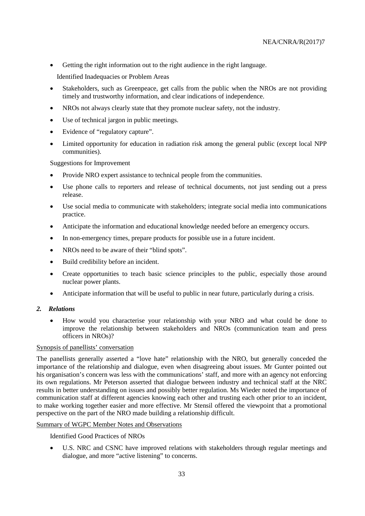• Getting the right information out to the right audience in the right language.

Identified Inadequacies or Problem Areas

- Stakeholders, such as Greenpeace, get calls from the public when the NROs are not providing timely and trustworthy information, and clear indications of independence.
- NROs not always clearly state that they promote nuclear safety, not the industry.
- Use of technical jargon in public meetings.
- Evidence of "regulatory capture".
- Limited opportunity for education in radiation risk among the general public (except local NPP communities).

Suggestions for Improvement

- Provide NRO expert assistance to technical people from the communities.
- Use phone calls to reporters and release of technical documents, not just sending out a press release.
- Use social media to communicate with stakeholders; integrate social media into communications practice.
- Anticipate the information and educational knowledge needed before an emergency occurs.
- In non-emergency times, prepare products for possible use in a future incident.
- NROs need to be aware of their "blind spots".
- Build credibility before an incident.
- Create opportunities to teach basic science principles to the public, especially those around nuclear power plants.
- Anticipate information that will be useful to public in near future, particularly during a crisis.

#### *2. Relations*

• How would you characterise your relationship with your NRO and what could be done to improve the relationship between stakeholders and NROs (communication team and press officers in NROs)?

#### Synopsis of panellists' conversation

The panellists generally asserted a "love hate" relationship with the NRO, but generally conceded the importance of the relationship and dialogue, even when disagreeing about issues. Mr Gunter pointed out his organisation's concern was less with the communications' staff, and more with an agency not enforcing its own regulations. Mr Peterson asserted that dialogue between industry and technical staff at the NRC results in better understanding on issues and possibly better regulation. Ms Wieder noted the importance of communication staff at different agencies knowing each other and trusting each other prior to an incident, to make working together easier and more effective. Mr Stensil offered the viewpoint that a promotional perspective on the part of the NRO made building a relationship difficult.

#### Summary of WGPC Member Notes and Observations

Identified Good Practices of NROs

• U.S. NRC and CSNC have improved relations with stakeholders through regular meetings and dialogue, and more "active listening" to concerns.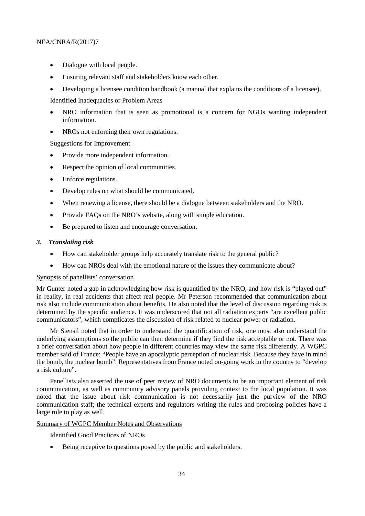- Dialogue with local people.
- Ensuring relevant staff and stakeholders know each other.
- Developing a licensee condition handbook (a manual that explains the conditions of a licensee).

- NRO information that is seen as promotional is a concern for NGOs wanting independent information.
- NROs not enforcing their own regulations.

Suggestions for Improvement

- Provide more independent information.
- Respect the opinion of local communities.
- Enforce regulations.
- Develop rules on what should be communicated.
- When renewing a license, there should be a dialogue between stakeholders and the NRO.
- Provide FAQs on the NRO's website, along with simple education.
- Be prepared to listen and encourage conversation.

#### *3. Translating risk*

- How can stakeholder groups help accurately translate risk to the general public?
- How can NROs deal with the emotional nature of the issues they communicate about?

#### Synopsis of panellists' conversation

Mr Gunter noted a gap in acknowledging how risk is quantified by the NRO, and how risk is "played out" in reality, in real accidents that affect real people. Mr Peterson recommended that communication about risk also include communication about benefits. He also noted that the level of discussion regarding risk is determined by the specific audience. It was underscored that not all radiation experts "are excellent public communicators", which complicates the discussion of risk related to nuclear power or radiation.

Mr Stensil noted that in order to understand the quantification of risk, one must also understand the underlying assumptions so the public can then determine if they find the risk acceptable or not. There was a brief conversation about how people in different countries may view the same risk differently. A WGPC member said of France: "People have an apocalyptic perception of nuclear risk. Because they have in mind the bomb, the nuclear bomb". Representatives from France noted on-going work in the country to "develop a risk culture".

Panellists also asserted the use of peer review of NRO documents to be an important element of risk communication, as well as community advisory panels providing context to the local population. It was noted that the issue about risk communication is not necessarily just the purview of the NRO communication staff; the technical experts and regulators writing the rules and proposing policies have a large role to play as well.

#### Summary of WGPC Member Notes and Observations

Identified Good Practices of NROs

• Being receptive to questions posed by the public and stakeholders.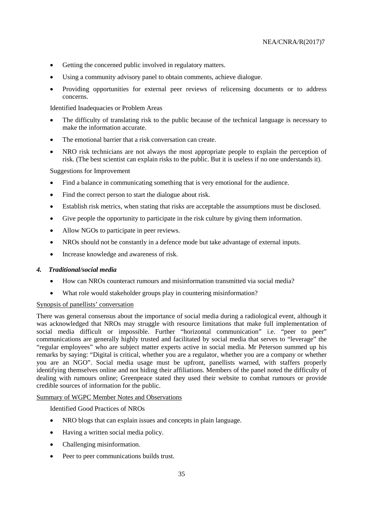- Getting the concerned public involved in regulatory matters.
- Using a community advisory panel to obtain comments, achieve dialogue.
- Providing opportunities for external peer reviews of relicensing documents or to address concerns.

- The difficulty of translating risk to the public because of the technical language is necessary to make the information accurate.
- The emotional barrier that a risk conversation can create.
- NRO risk technicians are not always the most appropriate people to explain the perception of risk. (The best scientist can explain risks to the public. But it is useless if no one understands it).

Suggestions for Improvement

- Find a balance in communicating something that is very emotional for the audience.
- Find the correct person to start the dialogue about risk.
- Establish risk metrics, when stating that risks are acceptable the assumptions must be disclosed.
- Give people the opportunity to participate in the risk culture by giving them information.
- Allow NGOs to participate in peer reviews.
- NROs should not be constantly in a defence mode but take advantage of external inputs.
- Increase knowledge and awareness of risk.

#### *4. Traditional/social media*

- How can NROs counteract rumours and misinformation transmitted via social media?
- What role would stakeholder groups play in countering misinformation?

### Synopsis of panellists' conversation

There was general consensus about the importance of social media during a radiological event, although it was acknowledged that NROs may struggle with resource limitations that make full implementation of social media difficult or impossible. Further "horizontal communication" i.e. "peer to peer" communications are generally highly trusted and facilitated by social media that serves to "leverage" the "regular employees" who are subject matter experts active in social media. Mr Peterson summed up his remarks by saying: "Digital is critical, whether you are a regulator, whether you are a company or whether you are an NGO". Social media usage must be upfront, panellists warned, with staffers properly identifying themselves online and not hiding their affiliations. Members of the panel noted the difficulty of dealing with rumours online; Greenpeace stated they used their website to combat rumours or provide credible sources of information for the public.

#### Summary of WGPC Member Notes and Observations

Identified Good Practices of NROs

- NRO blogs that can explain issues and concepts in plain language.
- Having a written social media policy.
- Challenging misinformation.
- Peer to peer communications builds trust.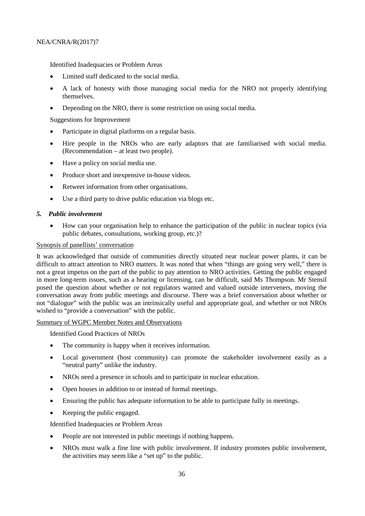- Limited staff dedicated to the social media.
- A lack of honesty with those managing social media for the NRO not properly identifying themselves.
- Depending on the NRO, there is some restriction on using social media.

Suggestions for Improvement

- Participate in digital platforms on a regular basis.
- Hire people in the NROs who are early adaptors that are familiarised with social media. (Recommendation – at least two people).
- Have a policy on social media use.
- Produce short and inexpensive in-house videos.
- Retweet information from other organisations.
- Use a third party to drive public education via blogs etc.

#### *5. Public involvement*

• How can your organisation help to enhance the participation of the public in nuclear topics (via public debates, consultations, working group, etc.)?

#### Synopsis of panellists' conversation

It was acknowledged that outside of communities directly situated near nuclear power plants, it can be difficult to attract attention to NRO matters. It was noted that when "things are going very well," there is not a great impetus on the part of the public to pay attention to NRO activities. Getting the public engaged in more long-term issues, such as a hearing or licensing, can be difficult, said Ms Thompson. Mr Stensil posed the question about whether or not regulators wanted and valued outside interveners, moving the conversation away from public meetings and discourse. There was a brief conversation about whether or not "dialogue" with the public was an intrinsically useful and appropriate goal, and whether or not NROs wished to "provide a conversation" with the public.

#### Summary of WGPC Member Notes and Observations

Identified Good Practices of NROs

- The community is happy when it receives information.
- Local government (host community) can promote the stakeholder involvement easily as a "neutral party" unlike the industry.
- NROs need a presence in schools and to participate in nuclear education.
- Open houses in addition to or instead of formal meetings.
- Ensuring the public has adequate information to be able to participate fully in meetings.
- Keeping the public engaged.

Identified Inadequacies or Problem Areas

- People are not interested in public meetings if nothing happens.
- NROs must walk a fine line with public involvement. If industry promotes public involvement, the activities may seem like a "set up" to the public.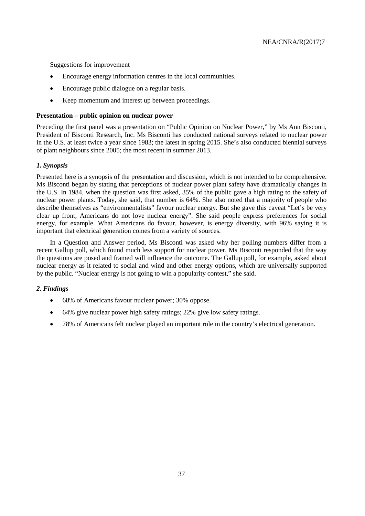Suggestions for improvement

- Encourage energy information centres in the local communities.
- Encourage public dialogue on a regular basis.
- Keep momentum and interest up between proceedings.

#### <span id="page-38-0"></span>**Presentation – public opinion on nuclear power**

Preceding the first panel was a presentation on "Public Opinion on Nuclear Power," by Ms Ann Bisconti, President of Bisconti Research, Inc. Ms Bisconti has conducted national surveys related to nuclear power in the U.S. at least twice a year since 1983; the latest in spring 2015. She's also conducted biennial surveys of plant neighbours since 2005; the most recent in summer 2013.

#### *1. Synopsis*

Presented here is a synopsis of the presentation and discussion, which is not intended to be comprehensive. Ms Bisconti began by stating that perceptions of nuclear power plant safety have dramatically changes in the U.S. In 1984, when the question was first asked, 35% of the public gave a high rating to the safety of nuclear power plants. Today, she said, that number is 64%. She also noted that a majority of people who describe themselves as "environmentalists" favour nuclear energy. But she gave this caveat "Let's be very clear up front, Americans do not love nuclear energy". She said people express preferences for social energy, for example. What Americans do favour, however, is energy diversity, with 96% saying it is important that electrical generation comes from a variety of sources.

In a Question and Answer period, Ms Bisconti was asked why her polling numbers differ from a recent Gallup poll, which found much less support for nuclear power. Ms Bisconti responded that the way the questions are posed and framed will influence the outcome. The Gallup poll, for example, asked about nuclear energy as it related to social and wind and other energy options, which are universally supported by the public. "Nuclear energy is not going to win a popularity contest," she said.

#### *2. Findings*

- 68% of Americans favour nuclear power; 30% oppose.
- 64% give nuclear power high safety ratings; 22% give low safety ratings.
- 78% of Americans felt nuclear played an important role in the country's electrical generation.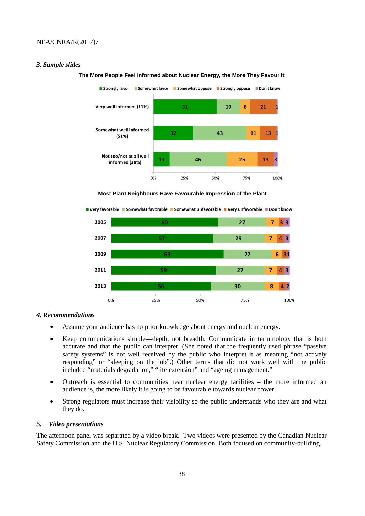#### *3. Sample slides*



#### **The More People Feel Informed about Nuclear Energy, the More They Favour It**

**Most Plant Neighbours Have Favourable Impression of the Plant**



#### *4. Recommendations*

- Assume your audience has no prior knowledge about energy and nuclear energy.
- Keep communications simple—depth, not breadth. Communicate in terminology that is both accurate and that the public can interpret. (She noted that the frequently used phrase "passive safety systems" is not well received by the public who interpret it as meaning "not actively responding" or "sleeping on the job".) Other terms that did not work well with the public included "materials degradation," "life extension" and "ageing management."
- Outreach is essential to communities near nuclear energy facilities the more informed an audience is, the more likely it is going to be favourable towards nuclear power.
- Strong regulators must increase their visibility so the public understands who they are and what they do.

#### *5. Video presentations*

The afternoon panel was separated by a video break. Two videos were presented by the Canadian Nuclear Safety Commission and the U.S. Nuclear Regulatory Commission. Both focused on community-building.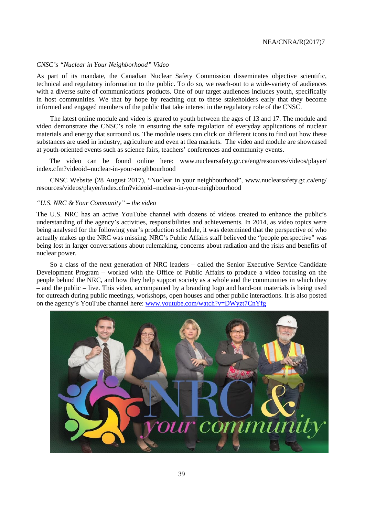#### *CNSC's "Nuclear in Your Neighborhood" Video*

As part of its mandate, the Canadian Nuclear Safety Commission disseminates objective scientific, technical and regulatory information to the public. To do so, we reach-out to a wide-variety of audiences with a diverse suite of communications products. One of our target audiences includes youth, specifically in host communities. We that by hope by reaching out to these stakeholders early that they become informed and engaged members of the public that take interest in the regulatory role of the CNSC.

The latest online module and video is geared to youth between the ages of 13 and 17. The module and video demonstrate the CNSC's role in ensuring the safe regulation of everyday applications of nuclear materials and energy that surround us. The module users can click on different icons to find out how these substances are used in industry, agriculture and even at flea markets. The video and module are showcased at youth-oriented events such as science fairs, teachers' conferences and community events.

The video can be found online here: www.nuclearsafety.gc.ca/eng/resources/videos/player/ index.cfm?videoid=nuclear-in-your-neighbourhood

CNSC Website (28 August 2017), "Nuclear in your neighbourhood", www.nuclearsafety.gc.ca/eng/ resources/videos/player/index.cfm?videoid=nuclear-in-your-neighbourhood

#### *"U.S. NRC & Your Community" – the video*

The U.S. NRC has an active YouTube channel with dozens of videos created to enhance the public's understanding of the agency's activities, responsibilities and achievements. In 2014, as video topics were being analysed for the following year's production schedule, it was determined that the perspective of who actually makes up the NRC was missing. NRC's Public Affairs staff believed the "people perspective" was being lost in larger conversations about rulemaking, concerns about radiation and the risks and benefits of nuclear power.

So a class of the next generation of NRC leaders – called the Senior Executive Service Candidate Development Program – worked with the Office of Public Affairs to produce a video focusing on the people behind the NRC, and how they help support society as a whole and the communities in which they – and the public – live. This video, accompanied by a branding logo and hand-out materials is being used for outreach during public meetings, workshops, open houses and other public interactions. It is also posted on the agency's YouTube channel here: [www.youtube.com/watch?v=DWyzt7CnYfg](file://nasoa.nea.fr/group/NEAHANS/CNRA_WGPC/Meetings/2015.03%2017th/Workshop%20stakeholders/Report/www.youtube.com/watch?v=DWyzt7CnYfg)

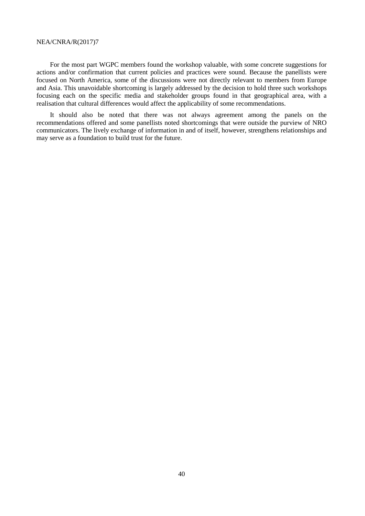For the most part WGPC members found the workshop valuable, with some concrete suggestions for actions and/or confirmation that current policies and practices were sound. Because the panellists were focused on North America, some of the discussions were not directly relevant to members from Europe and Asia. This unavoidable shortcoming is largely addressed by the decision to hold three such workshops focusing each on the specific media and stakeholder groups found in that geographical area, with a realisation that cultural differences would affect the applicability of some recommendations.

It should also be noted that there was not always agreement among the panels on the recommendations offered and some panellists noted shortcomings that were outside the purview of NRO communicators. The lively exchange of information in and of itself, however, strengthens relationships and may serve as a foundation to build trust for the future.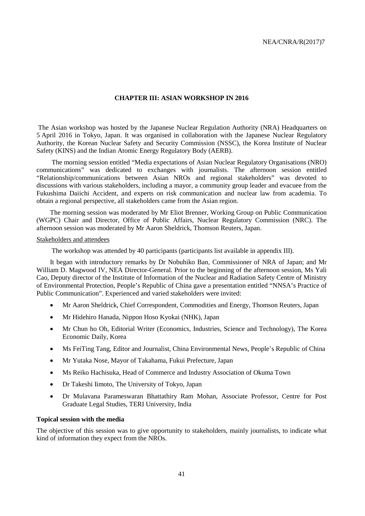#### **CHAPTER III: ASIAN WORKSHOP IN 2016**

<span id="page-42-0"></span>The Asian workshop was hosted by the Japanese Nuclear Regulation Authority (NRA) Headquarters on 5 April 2016 in Tokyo, Japan. It was organised in collaboration with the Japanese Nuclear Regulatory Authority, the Korean Nuclear Safety and Security Commission (NSSC), the Korea Institute of Nuclear Safety (KINS) and the Indian Atomic Energy Regulatory Body (AERB).

The morning session entitled "Media expectations of Asian Nuclear Regulatory Organisations (NRO) communications" was dedicated to exchanges with journalists. The afternoon session entitled "Relationship/communications between Asian NROs and regional stakeholders" was devoted to discussions with various stakeholders, including a mayor, a community group leader and evacuee from the Fukushima Daiichi Accident, and experts on risk communication and nuclear law from academia. To obtain a regional perspective, all stakeholders came from the Asian region.

The morning session was moderated by Mr Eliot Brenner, Working Group on Public Communication (WGPC) Chair and Director, Office of Public Affairs, Nuclear Regulatory Commission (NRC). The afternoon session was moderated by Mr Aaron Sheldrick, Thomson Reuters, Japan.

#### Stakeholders and attendees

The workshop was attended by 40 participants (participants list available in appendix III).

It began with introductory remarks by Dr Nobuhiko Ban, Commissioner of NRA of Japan; and Mr William D. Magwood IV, NEA Director-General. Prior to the beginning of the afternoon session, Ms Yali Cao, Deputy director of the Institute of Information of the Nuclear and Radiation Safety Centre of Ministry of Environmental Protection, People's Republic of China gave a presentation entitled "NNSA's Practice of Public Communication". Experienced and varied stakeholders were invited:

- Mr Aaron Sheldrick, Chief Correspondent, Commodities and Energy, Thomson Reuters, Japan
- Mr Hidehiro Hanada, Nippon Hoso Kyokai (NHK), Japan
- Mr Chun ho Oh, Editorial Writer (Economics, Industries, Science and Technology), The Korea Economic Daily, Korea
- Ms FeiTing Tang, Editor and Journalist, China Environmental News, People's Republic of China
- Mr Yutaka Nose, Mayor of Takahama, Fukui Prefecture, Japan
- Ms Reiko Hachisuka, Head of Commerce and Industry Association of Okuma Town
- Dr Takeshi Iimoto, The University of Tokyo, Japan
- Dr Mulavana Parameswaran Bhattathiry Ram Mohan, Associate Professor, Centre for Post Graduate Legal Studies, TERI University, India

#### <span id="page-42-1"></span>**Topical session with the media**

The objective of this session was to give opportunity to stakeholders, mainly journalists, to indicate what kind of information they expect from the NROs.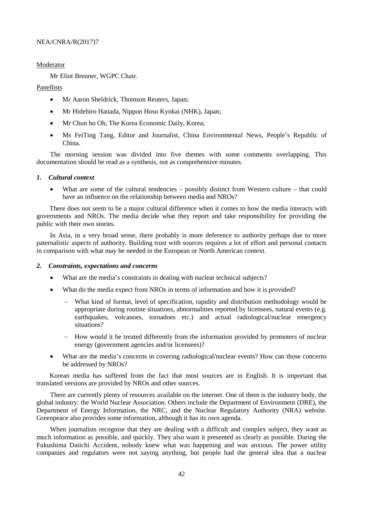#### Moderator

Mr Eliot Brenner, WGPC Chair.

#### Panellists

- Mr Aaron Sheldrick, Thomson Reuters, Japan;
- Mr Hidehiro Hanada, Nippon Hoso Kyokai (NHK), Japan;
- Mr Chun ho Oh, The Korea Economic Daily, Korea;
- Ms FeiTing Tang, Editor and Journalist, China Environmental News, People's Republic of China.

The morning session was divided into five themes with some comments overlapping. This documentation should be read as a synthesis, not as comprehensive minutes.

#### *1. Cultural context*

What are some of the cultural tendencies – possibly distinct from Western culture – that could have an influence on the relationship between media and NROs?

There does not seem to be a major cultural difference when it comes to how the media interacts with governments and NROs. The media decide what they report and take responsibility for providing the public with their own stories.

In Asia, in a very broad sense, there probably is more deference to authority perhaps due to more paternalistic aspects of authority. Building trust with sources requires a lot of effort and personal contacts in comparison with what may be needed in the European or North American context.

#### *2. Constraints, expectations and concerns*

- What are the media's constraints in dealing with nuclear technical subjects?
- What do the media expect from NROs in terms of information and how it is provided?
	- What kind of format, level of specification, rapidity and distribution methodology would be appropriate during routine situations, abnormalities reported by licensees, natural events (e.g. earthquakes, volcanoes, tornadoes etc.) and actual radiological/nuclear emergency situations?
	- − How would it be treated differently from the information provided by promoters of nuclear energy (government agencies and/or licensees)?
- What are the media's concerns in covering radiological/nuclear events? How can those concerns be addressed by NROs?

Korean media has suffered from the fact that most sources are in English. It is important that translated versions are provided by NROs and other sources.

There are currently plenty of resources available on the internet. One of them is the industry body, the global industry: the World Nuclear Association. Others include the Department of Environment (DRE), the Department of Energy Information, the NRC, and the Nuclear Regulatory Authority (NRA) website. Greenpeace also provides some information, although it has its own agenda.

When journalists recognise that they are dealing with a difficult and complex subject, they want as much information as possible, and quickly. They also want it presented as clearly as possible. During the Fukushima Daiichi Accident, nobody knew what was happening and was anxious. The power utility companies and regulators were not saying anything, but people had the general idea that a nuclear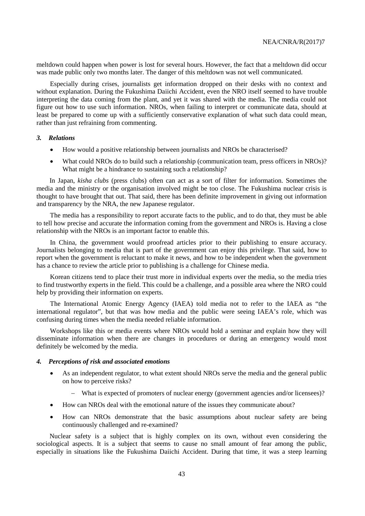meltdown could happen when power is lost for several hours. However, the fact that a meltdown did occur was made public only two months later. The danger of this meltdown was not well communicated.

Especially during crises, journalists get information dropped on their desks with no context and without explanation. During the Fukushima Daiichi Accident, even the NRO itself seemed to have trouble interpreting the data coming from the plant, and yet it was shared with the media. The media could not figure out how to use such information. NROs, when failing to interpret or communicate data, should at least be prepared to come up with a sufficiently conservative explanation of what such data could mean, rather than just refraining from commenting.

#### *3. Relations*

- How would a positive relationship between journalists and NROs be characterised?
- What could NROs do to build such a relationship (communication team, press officers in NROs)? What might be a hindrance to sustaining such a relationship?

In Japan, *kisha clubs* (press clubs) often can act as a sort of filter for information. Sometimes the media and the ministry or the organisation involved might be too close. The Fukushima nuclear crisis is thought to have brought that out. That said, there has been definite improvement in giving out information and transparency by the NRA, the new Japanese regulator.

The media has a responsibility to report accurate facts to the public, and to do that, they must be able to tell how precise and accurate the information coming from the government and NROs is. Having a close relationship with the NROs is an important factor to enable this.

In China, the government would proofread articles prior to their publishing to ensure accuracy. Journalists belonging to media that is part of the government can enjoy this privilege. That said, how to report when the government is reluctant to make it news, and how to be independent when the government has a chance to review the article prior to publishing is a challenge for Chinese media.

Korean citizens tend to place their trust more in individual experts over the media, so the media tries to find trustworthy experts in the field. This could be a challenge, and a possible area where the NRO could help by providing their information on experts.

The International Atomic Energy Agency (IAEA) told media not to refer to the IAEA as "the international regulator", but that was how media and the public were seeing IAEA's role, which was confusing during times when the media needed reliable information.

Workshops like this or media events where NROs would hold a seminar and explain how they will disseminate information when there are changes in procedures or during an emergency would most definitely be welcomed by the media.

#### *4. Perceptions of risk and associated emotions*

- As an independent regulator, to what extent should NROs serve the media and the general public on how to perceive risks?
	- − What is expected of promoters of nuclear energy (government agencies and/or licensees)?
- How can NROs deal with the emotional nature of the issues they communicate about?
- How can NROs demonstrate that the basic assumptions about nuclear safety are being continuously challenged and re-examined?

Nuclear safety is a subject that is highly complex on its own, without even considering the sociological aspects. It is a subject that seems to cause no small amount of fear among the public, especially in situations like the Fukushima Daiichi Accident. During that time, it was a steep learning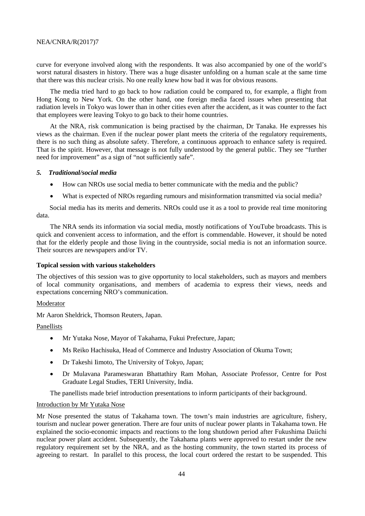curve for everyone involved along with the respondents. It was also accompanied by one of the world's worst natural disasters in history. There was a huge disaster unfolding on a human scale at the same time that there was this nuclear crisis. No one really knew how bad it was for obvious reasons.

The media tried hard to go back to how radiation could be compared to, for example, a flight from Hong Kong to New York. On the other hand, one foreign media faced issues when presenting that radiation levels in Tokyo was lower than in other cities even after the accident, as it was counter to the fact that employees were leaving Tokyo to go back to their home countries.

At the NRA, risk communication is being practised by the chairman, Dr Tanaka. He expresses his views as the chairman. Even if the nuclear power plant meets the criteria of the regulatory requirements, there is no such thing as absolute safety. Therefore, a continuous approach to enhance safety is required. That is the spirit. However, that message is not fully understood by the general public. They see "further need for improvement" as a sign of "not sufficiently safe".

#### *5. Traditional/social media*

- How can NROs use social media to better communicate with the media and the public?
- What is expected of NROs regarding rumours and misinformation transmitted via social media?

Social media has its merits and demerits. NROs could use it as a tool to provide real time monitoring data.

The NRA sends its information via social media, mostly notifications of YouTube broadcasts. This is quick and convenient access to information, and the effort is commendable. However, it should be noted that for the elderly people and those living in the countryside, social media is not an information source. Their sources are newspapers and/or TV.

#### <span id="page-45-0"></span>**Topical session with various stakeholders**

The objectives of this session was to give opportunity to local stakeholders, such as mayors and members of local community organisations, and members of academia to express their views, needs and expectations concerning NRO's communication.

#### **Moderator**

Mr Aaron Sheldrick, Thomson Reuters, Japan.

#### Panellists

- Mr Yutaka Nose, Mayor of Takahama, Fukui Prefecture, Japan;
- Ms Reiko Hachisuka, Head of Commerce and Industry Association of Okuma Town;
- Dr Takeshi Iimoto, The University of Tokyo, Japan;
- Dr Mulavana Parameswaran Bhattathiry Ram Mohan, Associate Professor, Centre for Post Graduate Legal Studies, TERI University, India.

The panellists made brief introduction presentations to inform participants of their background.

#### Introduction by Mr Yutaka Nose

Mr Nose presented the status of Takahama town. The town's main industries are agriculture, fishery, tourism and nuclear power generation. There are four units of nuclear power plants in Takahama town. He explained the socio-economic impacts and reactions to the long shutdown period after Fukushima Daiichi nuclear power plant accident. Subsequently, the Takahama plants were approved to restart under the new regulatory requirement set by the NRA, and as the hosting community, the town started its process of agreeing to restart. In parallel to this process, the local court ordered the restart to be suspended. This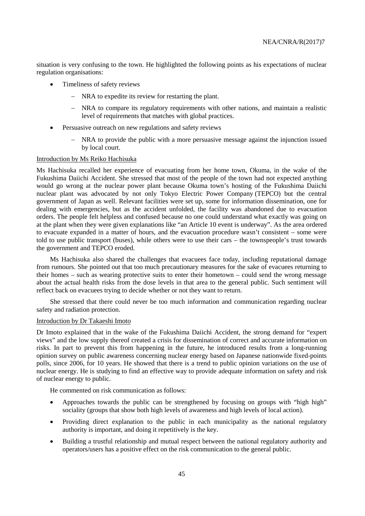situation is very confusing to the town. He highlighted the following points as his expectations of nuclear regulation organisations:

- Timeliness of safety reviews
	- − NRA to expedite its review for restarting the plant.
	- − NRA to compare its regulatory requirements with other nations, and maintain a realistic level of requirements that matches with global practices.
- Persuasive outreach on new regulations and safety reviews
	- NRA to provide the public with a more persuasive message against the injunction issued by local court.

#### Introduction by Ms Reiko Hachisuka

Ms Hachisuka recalled her experience of evacuating from her home town, Okuma, in the wake of the Fukushima Daiichi Accident. She stressed that most of the people of the town had not expected anything would go wrong at the nuclear power plant because Okuma town's hosting of the Fukushima Daiichi nuclear plant was advocated by not only Tokyo Electric Power Company (TEPCO) but the central government of Japan as well. Relevant facilities were set up, some for information dissemination, one for dealing with emergencies, but as the accident unfolded, the facility was abandoned due to evacuation orders. The people felt helpless and confused because no one could understand what exactly was going on at the plant when they were given explanations like "an Article 10 event is underway". As the area ordered to evacuate expanded in a matter of hours, and the evacuation procedure wasn't consistent – some were told to use public transport (buses), while others were to use their cars – the townspeople's trust towards the government and TEPCO eroded.

Ms Hachisuka also shared the challenges that evacuees face today, including reputational damage from rumours. She pointed out that too much precautionary measures for the sake of evacuees returning to their homes – such as wearing protective suits to enter their hometown – could send the wrong message about the actual health risks from the dose levels in that area to the general public. Such sentiment will reflect back on evacuees trying to decide whether or not they want to return.

She stressed that there could never be too much information and communication regarding nuclear safety and radiation protection.

#### Introduction by Dr Takaeshi Imoto

Dr Imoto explained that in the wake of the Fukushima Daiichi Accident, the strong demand for "expert views" and the low supply thereof created a crisis for dissemination of correct and accurate information on risks. In part to prevent this from happening in the future, he introduced results from a long-running opinion survey on public awareness concerning nuclear energy based on Japanese nationwide fixed-points polls, since 2006, for 10 years. He showed that there is a trend to public opinion variations on the use of nuclear energy. He is studying to find an effective way to provide adequate information on safety and risk of nuclear energy to public.

He commented on risk communication as follows:

- Approaches towards the public can be strengthened by focusing on groups with "high high" sociality (groups that show both high levels of awareness and high levels of local action).
- Providing direct explanation to the public in each municipality as the national regulatory authority is important, and doing it repetitively is the key.
- Building a trustful relationship and mutual respect between the national regulatory authority and operators/users has a positive effect on the risk communication to the general public.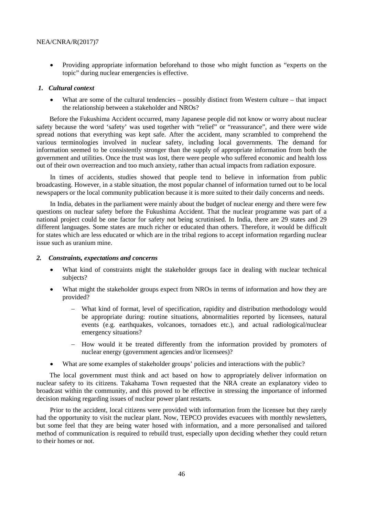• Providing appropriate information beforehand to those who might function as "experts on the topic" during nuclear emergencies is effective.

#### *1. Cultural context*

• What are some of the cultural tendencies – possibly distinct from Western culture – that impact the relationship between a stakeholder and NROs?

Before the Fukushima Accident occurred, many Japanese people did not know or worry about nuclear safety because the word 'safety' was used together with "relief" or "reassurance", and there were wide spread notions that everything was kept safe. After the accident, many scrambled to comprehend the various terminologies involved in nuclear safety, including local governments. The demand for information seemed to be consistently stronger than the supply of appropriate information from both the government and utilities. Once the trust was lost, there were people who suffered economic and health loss out of their own overreaction and too much anxiety, rather than actual impacts from radiation exposure.

In times of accidents, studies showed that people tend to believe in information from public broadcasting. However, in a stable situation, the most popular channel of information turned out to be local newspapers or the local community publication because it is more suited to their daily concerns and needs.

In India, debates in the parliament were mainly about the budget of nuclear energy and there were few questions on nuclear safety before the Fukushima Accident. That the nuclear programme was part of a national project could be one factor for safety not being scrutinised. In India, there are 29 states and 29 different languages. Some states are much richer or educated than others. Therefore, it would be difficult for states which are less educated or which are in the tribal regions to accept information regarding nuclear issue such as uranium mine.

#### *2. Constraints, expectations and concerns*

- What kind of constraints might the stakeholder groups face in dealing with nuclear technical subjects?
- What might the stakeholder groups expect from NROs in terms of information and how they are provided?
	- What kind of format, level of specification, rapidity and distribution methodology would be appropriate during: routine situations, abnormalities reported by licensees, natural events (e.g. earthquakes, volcanoes, tornadoes etc.), and actual radiological/nuclear emergency situations?
	- − How would it be treated differently from the information provided by promoters of nuclear energy (government agencies and/or licensees)?
- What are some examples of stakeholder groups' policies and interactions with the public?

The local government must think and act based on how to appropriately deliver information on nuclear safety to its citizens. Takahama Town requested that the NRA create an explanatory video to broadcast within the community, and this proved to be effective in stressing the importance of informed decision making regarding issues of nuclear power plant restarts.

Prior to the accident, local citizens were provided with information from the licensee but they rarely had the opportunity to visit the nuclear plant. Now, TEPCO provides evacuees with monthly newsletters, but some feel that they are being water hosed with information, and a more personalised and tailored method of communication is required to rebuild trust, especially upon deciding whether they could return to their homes or not.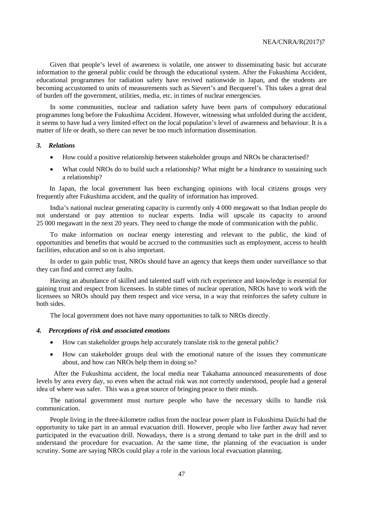Given that people's level of awareness is volatile, one answer to disseminating basic but accurate information to the general public could be through the educational system. After the Fukushima Accident, educational programmes for radiation safety have revived nationwide in Japan, and the students are becoming accustomed to units of measurements such as Sievert's and Becquerel's. This takes a great deal of burden off the government, utilities, media, etc. in times of nuclear emergencies.

In some communities, nuclear and radiation safety have been parts of compulsory educational programmes long before the Fukushima Accident. However, witnessing what unfolded during the accident, it seems to have had a very limited effect on the local population's level of awareness and behaviour. It is a matter of life or death, so there can never be too much information dissemination.

#### *3. Relations*

- How could a positive relationship between stakeholder groups and NROs be characterised?
- What could NROs do to build such a relationship? What might be a hindrance to sustaining such a relationship?

In Japan, the local government has been exchanging opinions with local citizens groups very frequently after Fukushima accident, and the quality of information has improved.

India's national nuclear generating capacity is currently only 4 000 megawatt so that Indian people do not understand or pay attention to nuclear experts. India will upscale its capacity to around 25 000 megawatt in the next 20 years. They need to change the mode of communication with the public.

To make information on nuclear energy interesting and relevant to the public, the kind of opportunities and benefits that would be accrued to the communities such as employment, access to health facilities, education and so on is also important.

In order to gain public trust, NROs should have an agency that keeps them under surveillance so that they can find and correct any faults.

Having an abundance of skilled and talented staff with rich experience and knowledge is essential for gaining trust and respect from licensees. In stable times of nuclear operation, NROs have to work with the licensees so NROs should pay them respect and vice versa, in a way that reinforces the safety culture in both sides.

The local government does not have many opportunities to talk to NROs directly.

#### *4. Perceptions of risk and associated emotions*

- How can stakeholder groups help accurately translate risk to the general public?
- How can stakeholder groups deal with the emotional nature of the issues they communicate about, and how can NROs help them in doing so?

After the Fukushima accident, the local media near Takahama announced measurements of dose levels by area every day, so even when the actual risk was not correctly understood, people had a general idea of where was safer. This was a great source of bringing peace to their minds.

The national government must nurture people who have the necessary skills to handle risk communication.

People living in the three-kilometre radius from the nuclear power plant in Fukushima Daiichi had the opportunity to take part in an annual evacuation drill. However, people who live farther away had never participated in the evacuation drill. Nowadays, there is a strong demand to take part in the drill and to understand the procedure for evacuation. At the same time, the planning of the evacuation is under scrutiny. Some are saying NROs could play a role in the various local evacuation planning.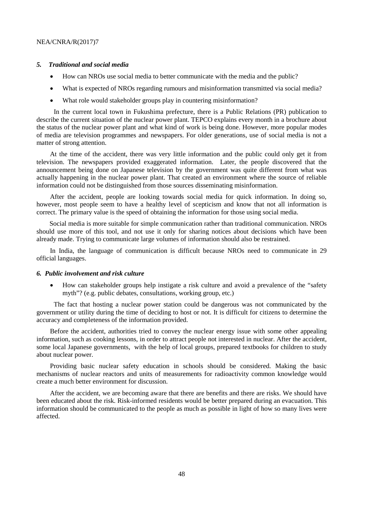#### *5. Traditional and social media*

- How can NROs use social media to better communicate with the media and the public?
- What is expected of NROs regarding rumours and misinformation transmitted via social media?
- What role would stakeholder groups play in countering misinformation?

In the current local town in Fukushima prefecture, there is a Public Relations (PR) publication to describe the current situation of the nuclear power plant. TEPCO explains every month in a brochure about the status of the nuclear power plant and what kind of work is being done. However, more popular modes of media are television programmes and newspapers. For older generations, use of social media is not a matter of strong attention.

At the time of the accident, there was very little information and the public could only get it from television. The newspapers provided exaggerated information. Later, the people discovered that the announcement being done on Japanese television by the government was quite different from what was actually happening in the nuclear power plant. That created an environment where the source of reliable information could not be distinguished from those sources disseminating misinformation.

After the accident, people are looking towards social media for quick information. In doing so, however, most people seem to have a healthy level of scepticism and know that not all information is correct. The primary value is the speed of obtaining the information for those using social media.

Social media is more suitable for simple communication rather than traditional communication. NROs should use more of this tool, and not use it only for sharing notices about decisions which have been already made. Trying to communicate large volumes of information should also be restrained.

In India, the language of communication is difficult because NROs need to communicate in 29 official languages.

#### *6. Public involvement and risk culture*

• How can stakeholder groups help instigate a risk culture and avoid a prevalence of the "safety myth"? (e.g. public debates, consultations, working group, etc.)

The fact that hosting a nuclear power station could be dangerous was not communicated by the government or utility during the time of deciding to host or not. It is difficult for citizens to determine the accuracy and completeness of the information provided.

Before the accident, authorities tried to convey the nuclear energy issue with some other appealing information, such as cooking lessons, in order to attract people not interested in nuclear. After the accident, some local Japanese governments, with the help of local groups, prepared textbooks for children to study about nuclear power.

Providing basic nuclear safety education in schools should be considered. Making the basic mechanisms of nuclear reactors and units of measurements for radioactivity common knowledge would create a much better environment for discussion.

After the accident, we are becoming aware that there are benefits and there are risks. We should have been educated about the risk. Risk-informed residents would be better prepared during an evacuation. This information should be communicated to the people as much as possible in light of how so many lives were affected.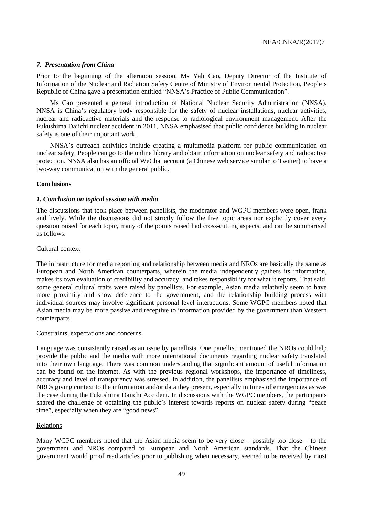#### *7. Presentation from China*

Prior to the beginning of the afternoon session, Ms Yali Cao, Deputy Director of the Institute of Information of the Nuclear and Radiation Safety Centre of Ministry of Environmental Protection, People's Republic of China gave a presentation entitled "NNSA's Practice of Public Communication".

Ms Cao presented a general introduction of National Nuclear Security Administration (NNSA). NNSA is China's regulatory body responsible for the safety of nuclear installations, nuclear activities, nuclear and radioactive materials and the response to radiological environment management. After the Fukushima Daiichi nuclear accident in 2011, NNSA emphasised that public confidence building in nuclear safety is one of their important work.

NNSA's outreach activities include creating a multimedia platform for public communication on nuclear safety. People can go to the online library and obtain information on nuclear safety and radioactive protection. NNSA also has an official WeChat account (a Chinese web service similar to Twitter) to have a two-way communication with the general public.

#### <span id="page-50-0"></span>**Conclusions**

#### *1. Conclusion on topical session with media*

The discussions that took place between panellists, the moderator and WGPC members were open, frank and lively. While the discussions did not strictly follow the five topic areas nor explicitly cover every question raised for each topic, many of the points raised had cross-cutting aspects, and can be summarised as follows.

#### Cultural context

The infrastructure for media reporting and relationship between media and NROs are basically the same as European and North American counterparts, wherein the media independently gathers its information, makes its own evaluation of credibility and accuracy, and takes responsibility for what it reports. That said, some general cultural traits were raised by panellists. For example, Asian media relatively seem to have more proximity and show deference to the government, and the relationship building process with individual sources may involve significant personal level interactions. Some WGPC members noted that Asian media may be more passive and receptive to information provided by the government than Western counterparts.

#### Constraints, expectations and concerns

Language was consistently raised as an issue by panellists. One panellist mentioned the NROs could help provide the public and the media with more international documents regarding nuclear safety translated into their own language. There was common understanding that significant amount of useful information can be found on the internet. As with the previous regional workshops, the importance of timeliness, accuracy and level of transparency was stressed. In addition, the panellists emphasised the importance of NROs giving context to the information and/or data they present, especially in times of emergencies as was the case during the Fukushima Daiichi Accident. In discussions with the WGPC members, the participants shared the challenge of obtaining the public's interest towards reports on nuclear safety during "peace time", especially when they are "good news".

#### **Relations**

Many WGPC members noted that the Asian media seem to be very close – possibly too close – to the government and NROs compared to European and North American standards. That the Chinese government would proof read articles prior to publishing when necessary, seemed to be received by most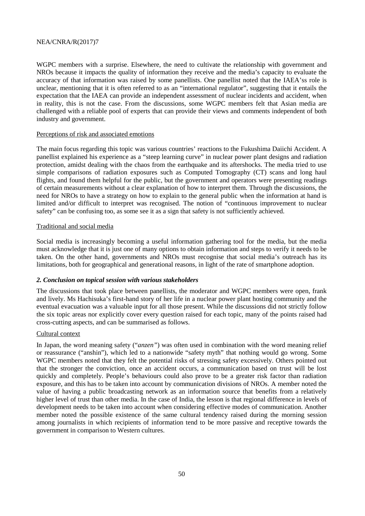WGPC members with a surprise. Elsewhere, the need to cultivate the relationship with government and NROs because it impacts the quality of information they receive and the media's capacity to evaluate the accuracy of that information was raised by some panellists. One panellist noted that the IAEA'ss role is unclear, mentioning that it is often referred to as an "international regulator", suggesting that it entails the expectation that the IAEA can provide an independent assessment of nuclear incidents and accident, when in reality, this is not the case. From the discussions, some WGPC members felt that Asian media are challenged with a reliable pool of experts that can provide their views and comments independent of both industry and government.

#### Perceptions of risk and associated emotions

The main focus regarding this topic was various countries' reactions to the Fukushima Daiichi Accident. A panellist explained his experience as a "steep learning curve" in nuclear power plant designs and radiation protection, amidst dealing with the chaos from the earthquake and its aftershocks. The media tried to use simple comparisons of radiation exposures such as Computed Tomography (CT) scans and long haul flights, and found them helpful for the public, but the government and operators were presenting readings of certain measurements without a clear explanation of how to interpret them. Through the discussions, the need for NROs to have a strategy on how to explain to the general public when the information at hand is limited and/or difficult to interpret was recognised. The notion of "continuous improvement to nuclear safety" can be confusing too, as some see it as a sign that safety is not sufficiently achieved.

#### Traditional and social media

Social media is increasingly becoming a useful information gathering tool for the media, but the media must acknowledge that it is just one of many options to obtain information and steps to verify it needs to be taken. On the other hand, governments and NROs must recognise that social media's outreach has its limitations, both for geographical and generational reasons, in light of the rate of smartphone adoption.

#### *2. Conclusion on topical session with various stakeholders*

The discussions that took place between panellists, the moderator and WGPC members were open, frank and lively. Ms Hachisuka's first-hand story of her life in a nuclear power plant hosting community and the eventual evacuation was a valuable input for all those present. While the discussions did not strictly follow the six topic areas nor explicitly cover every question raised for each topic, many of the points raised had cross-cutting aspects, and can be summarised as follows.

#### Cultural context

In Japan, the word meaning safety ("*anzen"*) was often used in combination with the word meaning relief or reassurance ("anshin"), which led to a nationwide "safety myth" that nothing would go wrong. Some WGPC members noted that they felt the potential risks of stressing safety excessively. Others pointed out that the stronger the conviction, once an accident occurs, a communication based on trust will be lost quickly and completely. People's behaviours could also prove to be a greater risk factor than radiation exposure, and this has to be taken into account by communication divisions of NROs. A member noted the value of having a public broadcasting network as an information source that benefits from a relatively higher level of trust than other media. In the case of India, the lesson is that regional difference in levels of development needs to be taken into account when considering effective modes of communication. Another member noted the possible existence of the same cultural tendency raised during the morning session among journalists in which recipients of information tend to be more passive and receptive towards the government in comparison to Western cultures.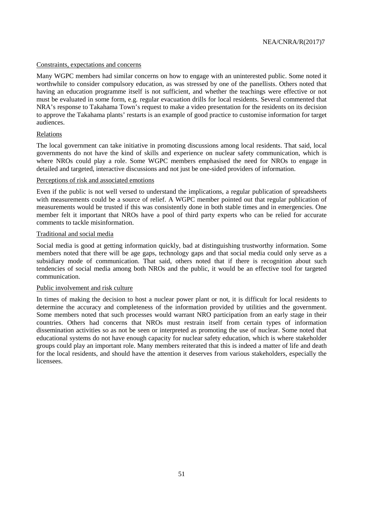#### Constraints, expectations and concerns

Many WGPC members had similar concerns on how to engage with an uninterested public. Some noted it worthwhile to consider compulsory education, as was stressed by one of the panellists. Others noted that having an education programme itself is not sufficient, and whether the teachings were effective or not must be evaluated in some form, e.g. regular evacuation drills for local residents. Several commented that NRA's response to Takahama Town's request to make a video presentation for the residents on its decision to approve the Takahama plants' restarts is an example of good practice to customise information for target audiences.

#### Relations

The local government can take initiative in promoting discussions among local residents. That said, local governments do not have the kind of skills and experience on nuclear safety communication, which is where NROs could play a role. Some WGPC members emphasised the need for NROs to engage in detailed and targeted, interactive discussions and not just be one-sided providers of information.

#### Perceptions of risk and associated emotions

Even if the public is not well versed to understand the implications, a regular publication of spreadsheets with measurements could be a source of relief. A WGPC member pointed out that regular publication of measurements would be trusted if this was consistently done in both stable times and in emergencies. One member felt it important that NROs have a pool of third party experts who can be relied for accurate comments to tackle misinformation.

#### Traditional and social media

Social media is good at getting information quickly, bad at distinguishing trustworthy information. Some members noted that there will be age gaps, technology gaps and that social media could only serve as a subsidiary mode of communication. That said, others noted that if there is recognition about such tendencies of social media among both NROs and the public, it would be an effective tool for targeted communication.

#### Public involvement and risk culture

In times of making the decision to host a nuclear power plant or not, it is difficult for local residents to determine the accuracy and completeness of the information provided by utilities and the government. Some members noted that such processes would warrant NRO participation from an early stage in their countries. Others had concerns that NROs must restrain itself from certain types of information dissemination activities so as not be seen or interpreted as promoting the use of nuclear. Some noted that educational systems do not have enough capacity for nuclear safety education, which is where stakeholder groups could play an important role. Many members reiterated that this is indeed a matter of life and death for the local residents, and should have the attention it deserves from various stakeholders, especially the licensees.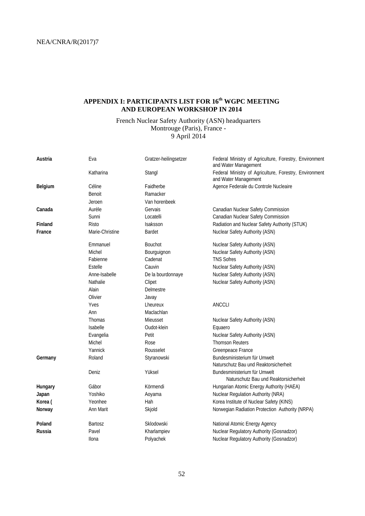### <span id="page-53-0"></span>**APPENDIX I: PARTICIPANTS LIST FOR 16th WGPC MEETING AND EUROPEAN WORKSHOP IN 2014**

### French Nuclear Safety Authority (ASN) headquarters Montrouge (Paris), France - 9 April 2014

| Austria | Eva             | Gratzer-heilingsetzer | Federal Ministry of Agriculture, Forestry, Environment<br>and Water Management |
|---------|-----------------|-----------------------|--------------------------------------------------------------------------------|
|         | Katharina       | Stangl                | Federal Ministry of Agriculture, Forestry, Environment<br>and Water Management |
| Belgium | Céline          | Faidherbe             | Agence Federale du Controle Nucleaire                                          |
|         | Benoit          | Ramacker              |                                                                                |
|         | Jeroen          | Van horenbeek         |                                                                                |
| Canada  | Aurèle          | Gervais               | Canadian Nuclear Safety Commission                                             |
|         | Sunni           | Locatelli             | Canadian Nuclear Safety Commission                                             |
| Finland | <b>Risto</b>    | Isaksson              | Radiation and Nuclear Safety Authority (STUK)                                  |
| France  | Marie-Christine | <b>Bardet</b>         | Nuclear Safety Authority (ASN)                                                 |
|         | Emmanuel        | <b>Bouchot</b>        | Nuclear Safety Authority (ASN)                                                 |
|         | Michel          | Bourguignon           | Nuclear Safety Authority (ASN)                                                 |
|         | Fabienne        | Cadenat               | <b>TNS Sofres</b>                                                              |
|         | Estelle         | Cauvin                | Nuclear Safety Authority (ASN)                                                 |
|         | Anne-Isabelle   | De la bourdonnaye     | Nuclear Safety Authority (ASN)                                                 |
|         | Nathalie        | Clipet                | Nuclear Safety Authority (ASN)                                                 |
|         | Alain           | Delmestre             |                                                                                |
|         | Olivier         | Javay                 |                                                                                |
|         | Yves            | Lheureux              | <b>ANCCLI</b>                                                                  |
|         | Ann             | Maclachlan            |                                                                                |
|         | Thomas          | Mieusset              | Nuclear Safety Authority (ASN)                                                 |
|         | Isabelle        | Oudot-klein           | Equaero                                                                        |
|         | Evangelia       | Petit                 | Nuclear Safety Authority (ASN)                                                 |
|         | Michel          | Rose                  | <b>Thomson Reuters</b>                                                         |
|         | Yannick         | Rousselet             | Greenpeace France                                                              |
| Germany | Roland          | Styranowski           | Bundesministerium für Umwelt                                                   |
|         |                 |                       | Naturschutz Bau und Reaktorsicherheit                                          |
|         | Deniz           | Yüksel                | Bundesministerium für Umwelt                                                   |
|         |                 |                       | Naturschutz Bau und Reaktorsicherheit                                          |
| Hungary | Gábor           | Körmendi              | Hungarian Atomic Energy Authority (HAEA)                                       |
| Japan   | Yoshiko         | Aoyama                | Nuclear Regulation Authority (NRA)                                             |
| Korea ( | Yeonhee         | Hah                   | Korea Institute of Nuclear Safety (KINS)                                       |
| Norway  | Ann Marit       | Skjold                | Norwegian Radiation Protection Authority (NRPA)                                |
| Poland  | <b>Bartosz</b>  | Sklodowski            | National Atomic Energy Agency                                                  |
| Russia  | Pavel           | Kharlampiev           | Nuclear Regulatory Authority (Gosnadzor)                                       |
|         | Ilona           | Polyachek             | Nuclear Regulatory Authority (Gosnadzor)                                       |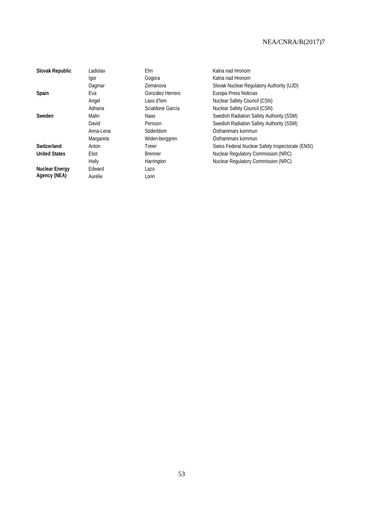| Slovak Republic       | Ladislav  | Ehn              | Kalna nad Hronom                                 |
|-----------------------|-----------|------------------|--------------------------------------------------|
|                       | Igor      | Gogora           | Kalna nad Hronom                                 |
|                       | Dagmar    | Zemanova         | Slovak Nuclear Regulatory Authority (UJD)        |
| Spain                 | Eva       | González Herrero | Europa Press Noticias                            |
|                       | Angel     | Laso d'Iom       | Nuclear Safety Council (CSN)                     |
|                       | Adriana   | Scialdone García | Nuclear Safety Council (CSN)                     |
| Sweden                | Malin     | Naas             | Swedish Radiation Safety Authority (SSM)         |
|                       | David     | Persson          | Swedish Radiation Safety Authority (SSM)         |
|                       | Anna-Lena | Söderblom        | Östhammars kommun                                |
|                       | Margareta | Widen-berggren   | Östhammars kommun                                |
| Switzerland           | Anton     | Treier           | Swiss Federal Nuclear Safety Inspectorate (ENSI) |
| <b>United States</b>  | Eliot     | <b>Brenner</b>   | Nuclear Regulatory Commission (NRC)              |
|                       | Holly     | Harrington       | Nuclear Regulatory Commission (NRC)              |
| <b>Nuclear Energy</b> | Edward    | Lazo             |                                                  |
| Agency (NEA)          | Aurélie   | Lorin            |                                                  |
|                       |           |                  |                                                  |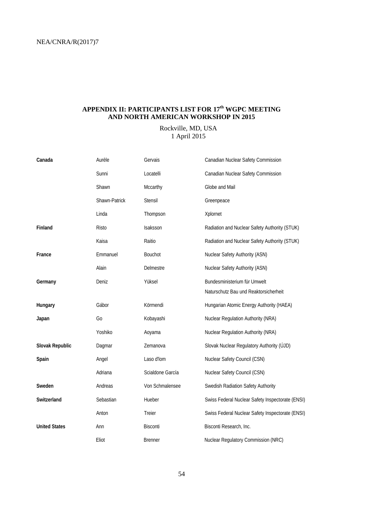### <span id="page-55-0"></span>**APPENDIX II: PARTICIPANTS LIST FOR 17th WGPC MEETING AND NORTH AMERICAN WORKSHOP IN 2015**

### Rockville, MD, USA 1 April 2015

| Canada               | Aurèle         | Gervais          | Canadian Nuclear Safety Commission               |
|----------------------|----------------|------------------|--------------------------------------------------|
|                      | Sunni          | Locatelli        | Canadian Nuclear Safety Commission               |
|                      | Shawn          | Mccarthy         | Globe and Mail                                   |
|                      | Shawn-Patrick  | Stensil          | Greenpeace                                       |
|                      | Linda          | Thompson         | Xplornet                                         |
| Finland              | Risto          | Isaksson         | Radiation and Nuclear Safety Authority (STUK)    |
|                      | Kaisa          | Raitio           | Radiation and Nuclear Safety Authority (STUK)    |
| France               | Emmanuel       | <b>Bouchot</b>   | Nuclear Safety Authority (ASN)                   |
|                      | Alain          | Delmestre        | Nuclear Safety Authority (ASN)                   |
| Germany              | Deniz          | Yüksel           | Bundesministerium für Umwelt                     |
|                      |                |                  | Naturschutz Bau und Reaktorsicherheit            |
| Hungary              | Gábor          | Körmendi         | Hungarian Atomic Energy Authority (HAEA)         |
| Japan                | G <sub>0</sub> | Kobayashi        | Nuclear Regulation Authority (NRA)               |
|                      | Yoshiko        | Aoyama           | Nuclear Regulation Authority (NRA)               |
| Slovak Republic      | Dagmar         | Zemanova         | Slovak Nuclear Regulatory Authority (ÚJD)        |
| Spain                | Angel          | Laso d'Iom       | Nuclear Safety Council (CSN)                     |
|                      | Adriana        | Scialdone García | Nuclear Safety Council (CSN)                     |
| Sweden               | Andreas        | Von Schmalensee  | Swedish Radiation Safety Authority               |
| Switzerland          | Sebastian      | Hueber           | Swiss Federal Nuclear Safety Inspectorate (ENSI) |
|                      | Anton          | Treier           | Swiss Federal Nuclear Safety Inspectorate (ENSI) |
| <b>United States</b> | Ann            | Bisconti         | Bisconti Research, Inc.                          |
|                      | Eliot          | <b>Brenner</b>   | Nuclear Regulatory Commission (NRC)              |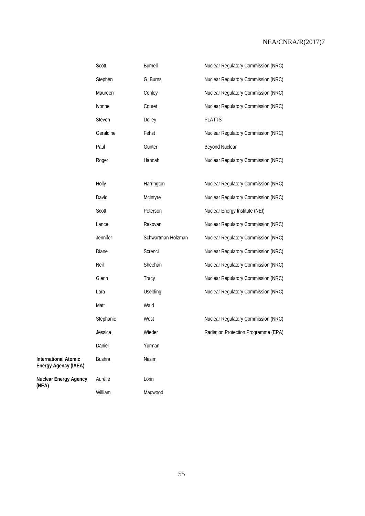|                                                     | Scott         | Burnell            | Nuclear Regulatory Commission (NRC)  |
|-----------------------------------------------------|---------------|--------------------|--------------------------------------|
|                                                     | Stephen       | G. Burns           | Nuclear Regulatory Commission (NRC)  |
|                                                     | Maureen       | Conley             | Nuclear Regulatory Commission (NRC)  |
|                                                     | Ivonne        | Couret             | Nuclear Regulatory Commission (NRC)  |
|                                                     | Steven        | Dolley             | <b>PLATTS</b>                        |
|                                                     | Geraldine     | Fehst              | Nuclear Regulatory Commission (NRC)  |
|                                                     | Paul          | Gunter             | Beyond Nuclear                       |
|                                                     | Roger         | Hannah             | Nuclear Regulatory Commission (NRC)  |
|                                                     |               |                    |                                      |
|                                                     | Holly         | Harrington         | Nuclear Regulatory Commission (NRC)  |
|                                                     | David         | Mcintyre           | Nuclear Regulatory Commission (NRC)  |
|                                                     | Scott         | Peterson           | Nuclear Energy Institute (NEI)       |
|                                                     | Lance         | Rakovan            | Nuclear Regulatory Commission (NRC)  |
|                                                     | Jennifer      | Schwartman Holzman | Nuclear Regulatory Commission (NRC)  |
|                                                     | Diane         | Screnci            | Nuclear Regulatory Commission (NRC)  |
|                                                     | Neil          | Sheehan            | Nuclear Regulatory Commission (NRC)  |
|                                                     | Glenn         | Tracy              | Nuclear Regulatory Commission (NRC)  |
|                                                     | Lara          | Uselding           | Nuclear Regulatory Commission (NRC)  |
|                                                     | Matt          | Wald               |                                      |
|                                                     | Stephanie     | West               | Nuclear Regulatory Commission (NRC)  |
|                                                     | Jessica       | Wieder             | Radiation Protection Programme (EPA) |
|                                                     | Daniel        | Yurman             |                                      |
| <b>International Atomic</b><br>Energy Agency (IAEA) | <b>Bushra</b> | Nasim              |                                      |
| Nuclear Energy Agency<br>(NEA)                      | Aurélie       | Lorin              |                                      |
|                                                     | William       | Magwood            |                                      |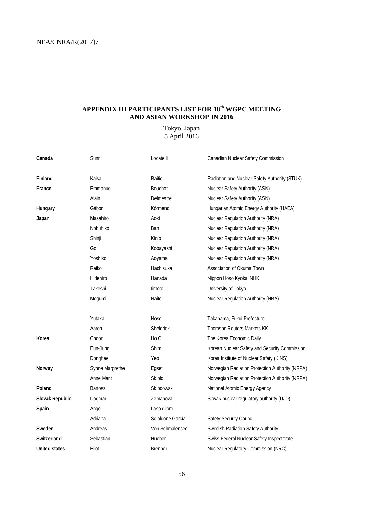### <span id="page-57-0"></span>**APPENDIX III PARTICIPANTS LIST FOR 18th WGPC MEETING AND ASIAN WORKSHOP IN 2016**

### Tokyo, Japan 5 April 2016

| Canada               | Sunni             | Locatelli        | Canadian Nuclear Safety Commission              |
|----------------------|-------------------|------------------|-------------------------------------------------|
| Finland              | Kaisa             | Raitio           | Radiation and Nuclear Safety Authority (STUK)   |
| France               | Emmanuel          | <b>Bouchot</b>   | Nuclear Safety Authority (ASN)                  |
|                      | Alain             | Delmestre        | <b>Nuclear Safety Authority (ASN)</b>           |
| Hungary              | Gábor             | Körmendi         | Hungarian Atomic Energy Authority (HAEA)        |
| Japan                | Masahiro          | Aoki             | Nuclear Regulation Authority (NRA)              |
|                      |                   |                  |                                                 |
|                      | Nobuhiko          | Ban              | <b>Nuclear Regulation Authority (NRA)</b>       |
|                      | Shinji            | Kinjo            | Nuclear Regulation Authority (NRA)              |
|                      | Go                | Kobayashi        | Nuclear Regulation Authority (NRA)              |
|                      | Yoshiko           | Aoyama           | Nuclear Regulation Authority (NRA)              |
|                      | Reiko             | Hachisuka        | Association of Okuma Town                       |
|                      | Hidehiro          | Hanada           | Nippon Hoso Kyokai NHK                          |
|                      | Takeshi           | limoto           | University of Tokyo                             |
|                      | Megumi            | Naito            | Nuclear Regulation Authority (NRA)              |
|                      | Yutaka            | Nose             | Takahama, Fukui Prefecture                      |
|                      | Aaron             | <b>Sheldrick</b> | <b>Thomson Reuters Markets KK</b>               |
| Korea                | Choon             | Ho OH            | The Korea Economic Daily                        |
|                      |                   |                  |                                                 |
|                      | Eun-Jung          | Shim             | Korean Nuclear Safety and Security Commission   |
|                      | Donghee           | Yeo              | Korea Institute of Nuclear Safety (KINS)        |
| Norway               | Synne Margrethe   | Egset            | Norwegian Radiation Protection Authority (NRPA) |
|                      | <b>Anne Marit</b> | Skjold           | Norwegian Radiation Protection Authority (NRPA) |
| Poland               | Bartosz           | Sklodowski       | National Atomic Energy Agency                   |
| Slovak Republic      | Dagmar            | Zemanova         | Slovak nuclear regulatory authority (ÚJD)       |
| Spain                | Angel             | Laso d'Iom       |                                                 |
|                      | Adriana           | Scialdone García | Safety Security Council                         |
| Sweden               | Andreas           | Von Schmalensee  | Swedish Radiation Safety Authority              |
| Switzerland          | Sebastian         | Hueber           | Swiss Federal Nuclear Safety Inspectorate       |
| <b>United states</b> | Eliot             | <b>Brenner</b>   | Nuclear Regulatory Commission (NRC)             |